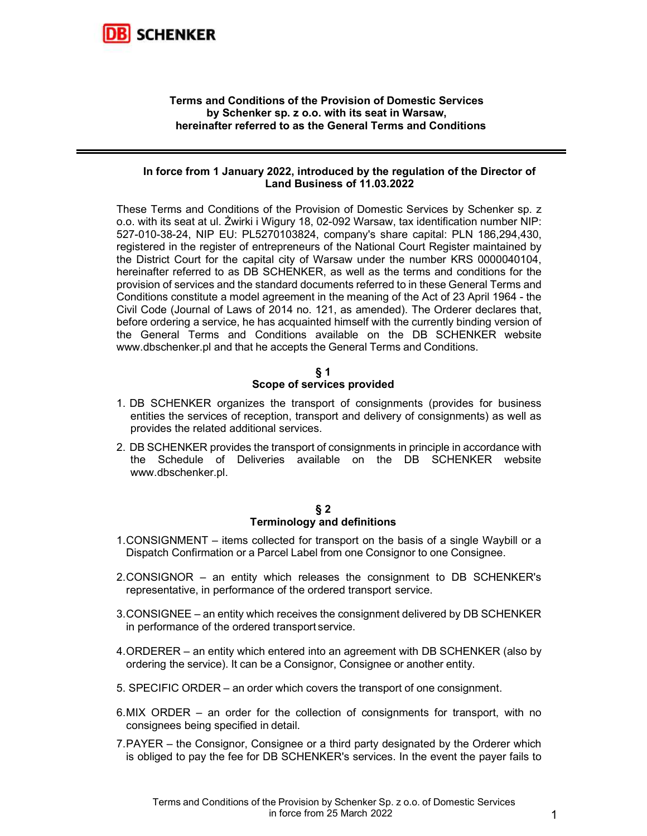

## Terms and Conditions of the Provision of Domestic Services by Schenker sp. z o.o. with its seat in Warsaw, hereinafter referred to as the General Terms and Conditions

#### In force from 1 January 2022, introduced by the regulation of the Director of Land Business of 11.03.2022

These Terms and Conditions of the Provision of Domestic Services by Schenker sp. z o.o. with its seat at ul. Żwirki i Wigury 18, 02-092 Warsaw, tax identification number NIP: 527-010-38-24, NIP EU: PL5270103824, company's share capital: PLN 186,294,430, registered in the register of entrepreneurs of the National Court Register maintained by the District Court for the capital city of Warsaw under the number KRS 0000040104, hereinafter referred to as DB SCHENKER, as well as the terms and conditions for the provision of services and the standard documents referred to in these General Terms and Conditions constitute a model agreement in the meaning of the Act of 23 April 1964 - the Civil Code (Journal of Laws of 2014 no. 121, as amended). The Orderer declares that, before ordering a service, he has acquainted himself with the currently binding version of the General Terms and Conditions available on the DB SCHENKER website www.dbschenker.pl and that he accepts the General Terms and Conditions.

## § 1 Scope of services provided

- 1. DB SCHENKER organizes the transport of consignments (provides for business entities the services of reception, transport and delivery of consignments) as well as provides the related additional services.
- 2. DB SCHENKER provides the transport of consignments in principle in accordance with the Schedule of Deliveries available on the DB SCHENKER website www.dbschenker.pl.

#### $§$  2 Terminology and definitions

- 1. CONSIGNMENT items collected for transport on the basis of a single Waybill or a Dispatch Confirmation or a Parcel Label from one Consignor to one Consignee.
- 2. CONSIGNOR an entity which releases the consignment to DB SCHENKER's representative, in performance of the ordered transport service.
- 3. CONSIGNEE an entity which receives the consignment delivered by DB SCHENKER in performance of the ordered transport service.
- 4. ORDERER an entity which entered into an agreement with DB SCHENKER (also by ordering the service). It can be a Consignor, Consignee or another entity.
- 5. SPECIFIC ORDER an order which covers the transport of one consignment.
- 6. MIX ORDER an order for the collection of consignments for transport, with no consignees being specified in detail.
- 7. PAYER the Consignor, Consignee or a third party designated by the Orderer which is obliged to pay the fee for DB SCHENKER's services. In the event the payer fails to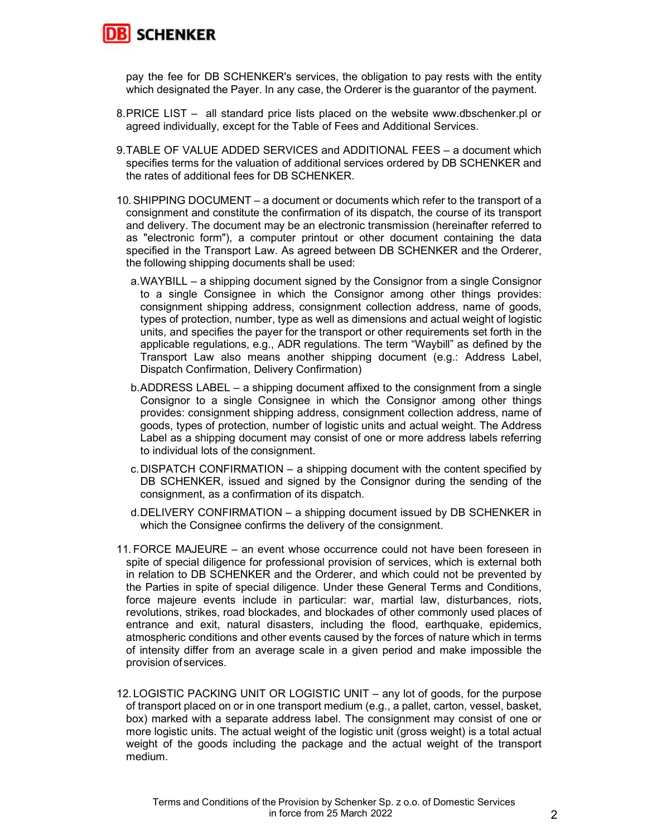

pay the fee for DB SCHENKER's services, the obligation to pay rests with the entity which designated the Payer. In any case, the Orderer is the guarantor of the payment.

- 8. PRICE LIST all standard price lists placed on the website www.dbschenker.pl or agreed individually, except for the Table of Fees and Additional Services.
- 9. TABLE OF VALUE ADDED SERVICES and ADDITIONAL FEES a document which specifies terms for the valuation of additional services ordered by DB SCHENKER and the rates of additional fees for DB SCHENKER.
- 10. SHIPPING DOCUMENT a document or documents which refer to the transport of a consignment and constitute the confirmation of its dispatch, the course of its transport and delivery. The document may be an electronic transmission (hereinafter referred to as "electronic form"), a computer printout or other document containing the data specified in the Transport Law. As agreed between DB SCHENKER and the Orderer, the following shipping documents shall be used:
	- a. WAYBILL a shipping document signed by the Consignor from a single Consignor to a single Consignee in which the Consignor among other things provides: consignment shipping address, consignment collection address, name of goods, types of protection, number, type as well as dimensions and actual weight of logistic units, and specifies the payer for the transport or other requirements set forth in the applicable regulations, e.g., ADR regulations. The term "Waybill" as defined by the Transport Law also means another shipping document (e.g.: Address Label, Dispatch Confirmation, Delivery Confirmation)
	- b. ADDRESS LABEL a shipping document affixed to the consignment from a single Consignor to a single Consignee in which the Consignor among other things provides: consignment shipping address, consignment collection address, name of goods, types of protection, number of logistic units and actual weight. The Address Label as a shipping document may consist of one or more address labels referring to individual lots of the consignment.
	- c. DISPATCH CONFIRMATION a shipping document with the content specified by DB SCHENKER, issued and signed by the Consignor during the sending of the consignment, as a confirmation of its dispatch.
	- d. DELIVERY CONFIRMATION a shipping document issued by DB SCHENKER in which the Consignee confirms the delivery of the consignment.
- 11. FORCE MAJEURE an event whose occurrence could not have been foreseen in spite of special diligence for professional provision of services, which is external both in relation to DB SCHENKER and the Orderer, and which could not be prevented by the Parties in spite of special diligence. Under these General Terms and Conditions, force majeure events include in particular: war, martial law, disturbances, riots, revolutions, strikes, road blockades, and blockades of other commonly used places of entrance and exit, natural disasters, including the flood, earthquake, epidemics, atmospheric conditions and other events caused by the forces of nature which in terms of intensity differ from an average scale in a given period and make impossible the provision of services.
- 12. LOGISTIC PACKING UNIT OR LOGISTIC UNIT any lot of goods, for the purpose of transport placed on or in one transport medium (e.g., a pallet, carton, vessel, basket, box) marked with a separate address label. The consignment may consist of one or more logistic units. The actual weight of the logistic unit (gross weight) is a total actual weight of the goods including the package and the actual weight of the transport medium.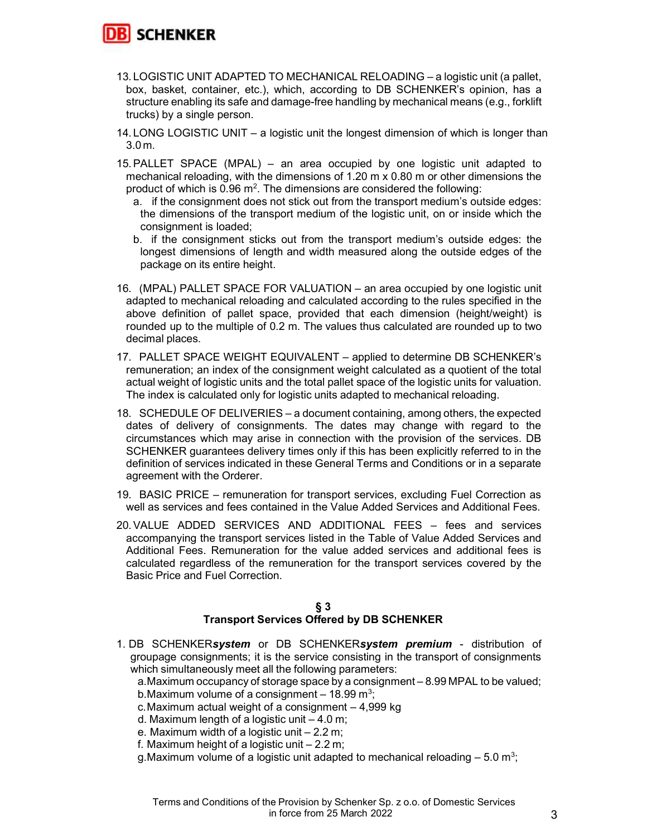

- 13. LOGISTIC UNIT ADAPTED TO MECHANICAL RELOADING a logistic unit (a pallet, box, basket, container, etc.), which, according to DB SCHENKER's opinion, has a structure enabling its safe and damage-free handling by mechanical means (e.g., forklift trucks) by a single person.
- 14. LONG LOGISTIC UNIT a logistic unit the longest dimension of which is longer than 3.0 m.
- 15. PALLET SPACE (MPAL) an area occupied by one logistic unit adapted to mechanical reloading, with the dimensions of 1.20 m x 0.80 m or other dimensions the product of which is  $0.96$  m<sup>2</sup>. The dimensions are considered the following:
	- a. if the consignment does not stick out from the transport medium's outside edges: the dimensions of the transport medium of the logistic unit, on or inside which the consignment is loaded;
	- b. if the consignment sticks out from the transport medium's outside edges: the longest dimensions of length and width measured along the outside edges of the package on its entire height.
- 16. (MPAL) PALLET SPACE FOR VALUATION an area occupied by one logistic unit adapted to mechanical reloading and calculated according to the rules specified in the above definition of pallet space, provided that each dimension (height/weight) is rounded up to the multiple of 0.2 m. The values thus calculated are rounded up to two decimal places.
- 17. PALLET SPACE WEIGHT EQUIVALENT applied to determine DB SCHENKER's remuneration; an index of the consignment weight calculated as a quotient of the total actual weight of logistic units and the total pallet space of the logistic units for valuation. The index is calculated only for logistic units adapted to mechanical reloading.
- 18. SCHEDULE OF DELIVERIES a document containing, among others, the expected dates of delivery of consignments. The dates may change with regard to the circumstances which may arise in connection with the provision of the services. DB SCHENKER guarantees delivery times only if this has been explicitly referred to in the definition of services indicated in these General Terms and Conditions or in a separate agreement with the Orderer.
- 19. BASIC PRICE remuneration for transport services, excluding Fuel Correction as well as services and fees contained in the Value Added Services and Additional Fees.
- 20. VALUE ADDED SERVICES AND ADDITIONAL FEES fees and services accompanying the transport services listed in the Table of Value Added Services and Additional Fees. Remuneration for the value added services and additional fees is calculated regardless of the remuneration for the transport services covered by the Basic Price and Fuel Correction.

# § 3

# Transport Services Offered by DB SCHENKER

1. DB SCHENKERsystem or DB SCHENKERsystem premium - distribution of groupage consignments; it is the service consisting in the transport of consignments which simultaneously meet all the following parameters:

a. Maximum occupancy of storage space by a consignment – 8.99 MPAL to be valued; b. Maximum volume of a consignment  $-18.99$  m<sup>3</sup>;

- c. Maximum actual weight of a consignment 4,999 kg
- d. Maximum length of a logistic unit  $-4.0$  m;
- e. Maximum width of a logistic unit 2.2 m;
- f. Maximum height of a logistic unit 2.2 m;
- g. Maximum volume of a logistic unit adapted to mechanical reloading  $-5.0$  m<sup>3</sup>;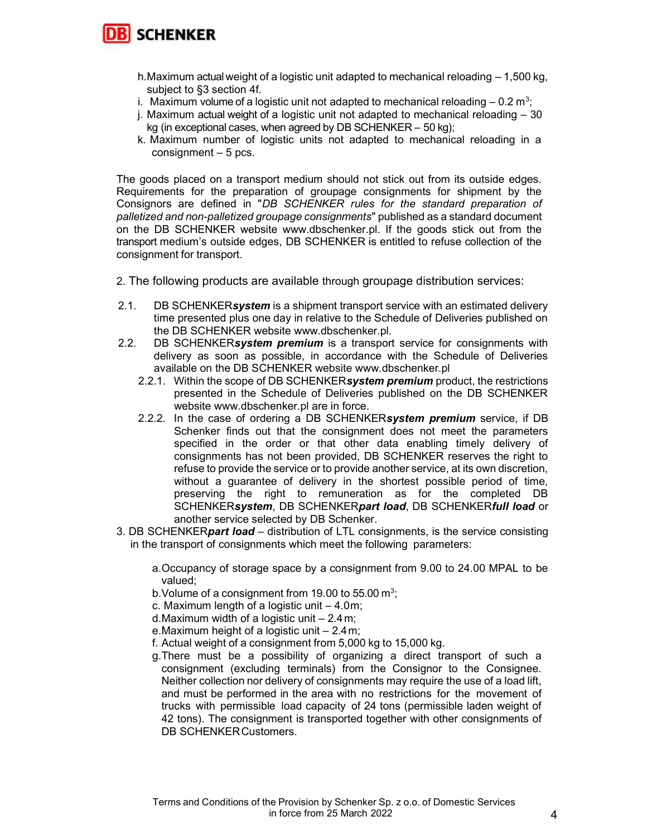

- h. Maximum actual weight of a logistic unit adapted to mechanical reloading 1,500 kg, subject to §3 section 4f.
- i. Maximum volume of a logistic unit not adapted to mechanical reloading  $-0.2$  m<sup>3</sup>;
- j. Maximum actual weight of a logistic unit not adapted to mechanical reloading 30 kg (in exceptional cases, when agreed by DB SCHENKER – 50 kg);
- k. Maximum number of logistic units not adapted to mechanical reloading in a consignment – 5 pcs.

The goods placed on a transport medium should not stick out from its outside edges. Requirements for the preparation of groupage consignments for shipment by the Consignors are defined in "DB SCHENKER rules for the standard preparation of palletized and non-palletized groupage consignments" published as a standard document on the DB SCHENKER website www.dbschenker.pl. If the goods stick out from the transport medium's outside edges, DB SCHENKER is entitled to refuse collection of the consignment for transport.

- 2. The following products are available through groupage distribution services:
- 2.1. DB SCHENKERsystem is a shipment transport service with an estimated delivery time presented plus one day in relative to the Schedule of Deliveries published on the DB SCHENKER website www.dbschenker.pl.
- 2.2. DB SCHENKERsystem premium is a transport service for consignments with delivery as soon as possible, in accordance with the Schedule of Deliveries available on the DB SCHENKER website www.dbschenker.pl
	- 2.2.1. Within the scope of DB SCHENKERsystem premium product, the restrictions presented in the Schedule of Deliveries published on the DB SCHENKER website www.dbschenker.pl are in force.
	- 2.2.2. In the case of ordering a DB SCHENKERsystem premium service, if DB Schenker finds out that the consignment does not meet the parameters specified in the order or that other data enabling timely delivery of consignments has not been provided, DB SCHENKER reserves the right to refuse to provide the service or to provide another service, at its own discretion, without a guarantee of delivery in the shortest possible period of time, preserving the right to remuneration as for the completed DB SCHENKERsystem, DB SCHENKERpart load, DB SCHENKERfull load or another service selected by DB Schenker.
- 3. DB SCHENKER**part load** distribution of LTL consignments, is the service consisting in the transport of consignments which meet the following parameters:
	- a. Occupancy of storage space by a consignment from 9.00 to 24.00 MPAL to be valued;
	- b. Volume of a consignment from 19.00 to 55.00  $\text{m}^3$ ;
	- c. Maximum length of a logistic unit  $-4.0$  m;
	- d. Maximum width of a logistic unit  $-2.4$  m;
	- e. Maximum height of a logistic unit 2.4 m;
	- f. Actual weight of a consignment from 5,000 kg to 15,000 kg.
	- g. There must be a possibility of organizing a direct transport of such a consignment (excluding terminals) from the Consignor to the Consignee. Neither collection nor delivery of consignments may require the use of a load lift, and must be performed in the area with no restrictions for the movement of trucks with permissible load capacity of 24 tons (permissible laden weight of 42 tons). The consignment is transported together with other consignments of DB SCHENKER Customers.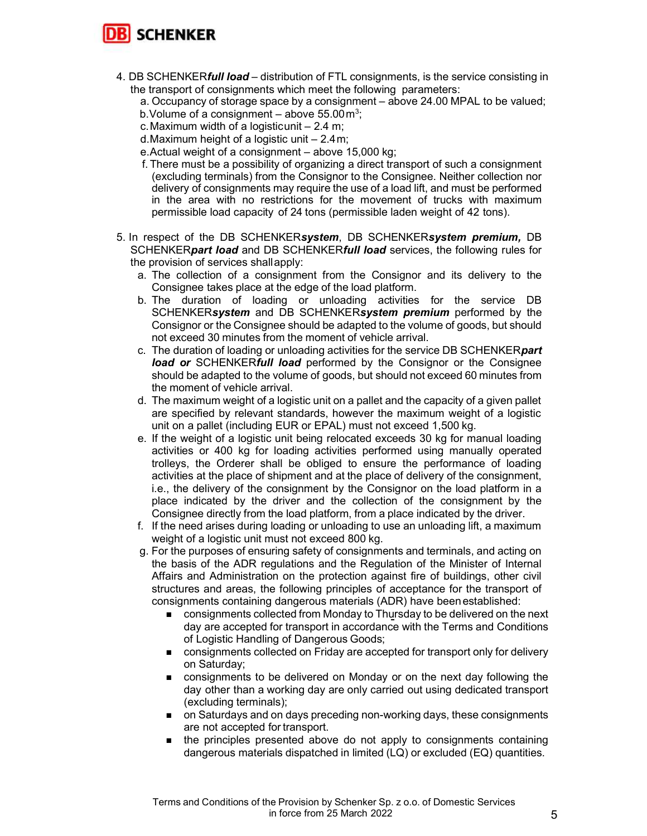

- 4. DB SCHENKER**full load** distribution of FTL consignments, is the service consisting in the transport of consignments which meet the following parameters:
	- a. Occupancy of storage space by a consignment above 24.00 MPAL to be valued;
	- b. Volume of a consignment above  $55.00\,\mathrm{m}^3$ ;
	- c. Maximum width of a logistic unit  $-2.4$  m;
	- d. Maximum height of a logistic unit 2.4 m;
	- e. Actual weight of a consignment above 15,000 kg;
	- f. There must be a possibility of organizing a direct transport of such a consignment (excluding terminals) from the Consignor to the Consignee. Neither collection nor delivery of consignments may require the use of a load lift, and must be performed in the area with no restrictions for the movement of trucks with maximum permissible load capacity of 24 tons (permissible laden weight of 42 tons).
- 5. In respect of the DB SCHENKERsystem, DB SCHENKERsystem premium, DB SCHENKERpart load and DB SCHENKERfull load services, the following rules for the provision of services shall apply:
	- a. The collection of a consignment from the Consignor and its delivery to the Consignee takes place at the edge of the load platform.
	- b. The duration of loading or unloading activities for the service DB SCHENKERsystem and DB SCHENKERsystem premium performed by the Consignor or the Consignee should be adapted to the volume of goods, but should not exceed 30 minutes from the moment of vehicle arrival.
	- c. The duration of loading or unloading activities for the service DB SCHENKERpart load or SCHENKERfull load performed by the Consignor or the Consignee should be adapted to the volume of goods, but should not exceed 60 minutes from the moment of vehicle arrival.
	- d. The maximum weight of a logistic unit on a pallet and the capacity of a given pallet are specified by relevant standards, however the maximum weight of a logistic unit on a pallet (including EUR or EPAL) must not exceed 1,500 kg.
	- e. If the weight of a logistic unit being relocated exceeds 30 kg for manual loading activities or 400 kg for loading activities performed using manually operated trolleys, the Orderer shall be obliged to ensure the performance of loading activities at the place of shipment and at the place of delivery of the consignment, i.e., the delivery of the consignment by the Consignor on the load platform in a place indicated by the driver and the collection of the consignment by the Consignee directly from the load platform, from a place indicated by the driver.
	- f. If the need arises during loading or unloading to use an unloading lift, a maximum weight of a logistic unit must not exceed 800 kg.
	- g. For the purposes of ensuring safety of consignments and terminals, and acting on the basis of the ADR regulations and the Regulation of the Minister of Internal Affairs and Administration on the protection against fire of buildings, other civil structures and areas, the following principles of acceptance for the transport of consignments containing dangerous materials (ADR) have been established:
		- **EXECONSERVIPT CONSIGNMENTS COLLECTED MONDAY TO THE ORIGINAL CONSIGNMENT CONSIGNMENTS** consignments collected from Monday to Thursday to be delivered on the next day are accepted for transport in accordance with the Terms and Conditions of Logistic Handling of Dangerous Goods;
		- consignments collected on Friday are accepted for transport only for delivery on Saturday;
		- consignments to be delivered on Monday or on the next day following the day other than a working day are only carried out using dedicated transport (excluding terminals);
		- **n** on Saturdays and on days preceding non-working days, these consignments are not accepted for transport.
		- **the principles presented above do not apply to consignments containing** dangerous materials dispatched in limited (LQ) or excluded (EQ) quantities.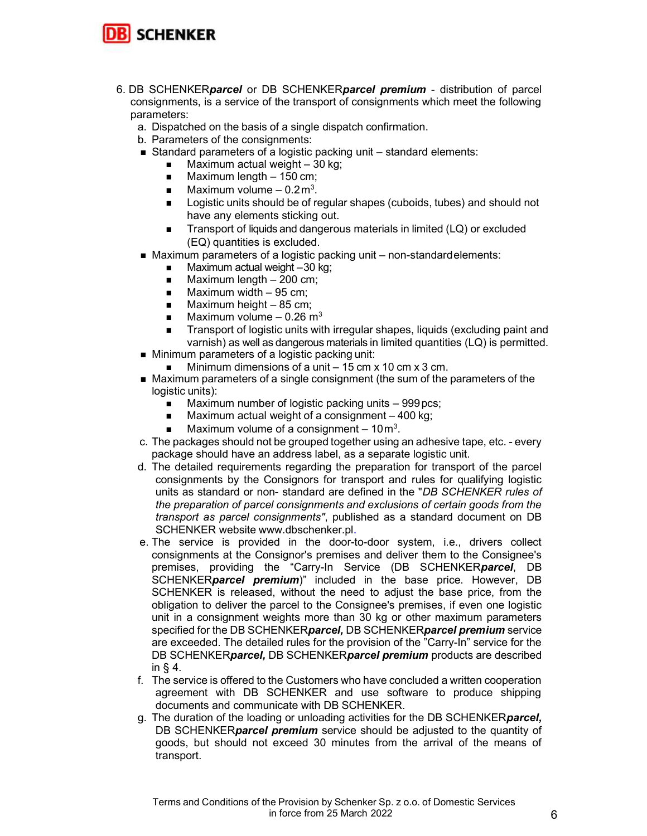

- 6. DB SCHENKERparcel or DB SCHENKERparcel premium distribution of parcel consignments, is a service of the transport of consignments which meet the following parameters:
	- a. Dispatched on the basis of a single dispatch confirmation.
	- b. Parameters of the consignments:
	- Standard parameters of a logistic packing unit standard elements:
		- Maximum actual weight 30 kg;
		- $\blacksquare$  Maximum length  $-150$  cm;
		- $\blacksquare$  Maximum volume 0.2 m<sup>3</sup>.
		- **EXEC** Logistic units should be of regular shapes (cuboids, tubes) and should not have any elements sticking out.
		- Transport of liquids and dangerous materials in limited (LQ) or excluded (EQ) quantities is excluded.
	- Maximum parameters of a logistic packing unit non-standard elements:
		- $\blacksquare$  Maximum actual weight -30 kg;
		- $\blacksquare$  Maximum length 200 cm;
		- $\blacksquare$  Maximum width 95 cm;
		- $\blacksquare$  Maximum height 85 cm;
		- $\blacksquare$  Maximum volume 0.26 m<sup>3</sup>
		- **Transport of logistic units with irregular shapes, liquids (excluding paint and** varnish) as well as dangerous materials in limited quantities (LQ) is permitted.
	- **Minimum parameters of a logistic packing unit:** 
		- Minimum dimensions of a unit  $-15$  cm x 10 cm x 3 cm.
	- Maximum parameters of a single consignment (the sum of the parameters of the logistic units):
		- Maximum number of logistic packing units 999 pcs;
		- $\blacksquare$  Maximum actual weight of a consignment  $-400$  kg;
		- **Maximum volume of a consignment**  $-10 m<sup>3</sup>$ .
	- c. The packages should not be grouped together using an adhesive tape, etc. every package should have an address label, as a separate logistic unit.
	- d. The detailed requirements regarding the preparation for transport of the parcel consignments by the Consignors for transport and rules for qualifying logistic units as standard or non- standard are defined in the "DB SCHENKER rules of the preparation of parcel consignments and exclusions of certain goods from the transport as parcel consignments", published as a standard document on DB SCHENKER website www.dbschenker.pl.
	- e. The service is provided in the door-to-door system, i.e., drivers collect consignments at the Consignor's premises and deliver them to the Consignee's premises, providing the "Carry-In Service (DB SCHENKERparcel, DB SCHENKERparcel premium)" included in the base price. However, DB SCHENKER is released, without the need to adjust the base price, from the obligation to deliver the parcel to the Consignee's premises, if even one logistic unit in a consignment weights more than 30 kg or other maximum parameters specified for the DB SCHENKER*parcel*, DB SCHENKER*parcel premium* service are exceeded. The detailed rules for the provision of the "Carry-In" service for the DB SCHENKERparcel, DB SCHENKERparcel premium products are described in § 4.
	- f. The service is offered to the Customers who have concluded a written cooperation agreement with DB SCHENKER and use software to produce shipping documents and communicate with DB SCHENKER.
	- g. The duration of the loading or unloading activities for the DB SCHENKER*parcel*, DB SCHENKER*parcel premium* service should be adjusted to the quantity of goods, but should not exceed 30 minutes from the arrival of the means of transport.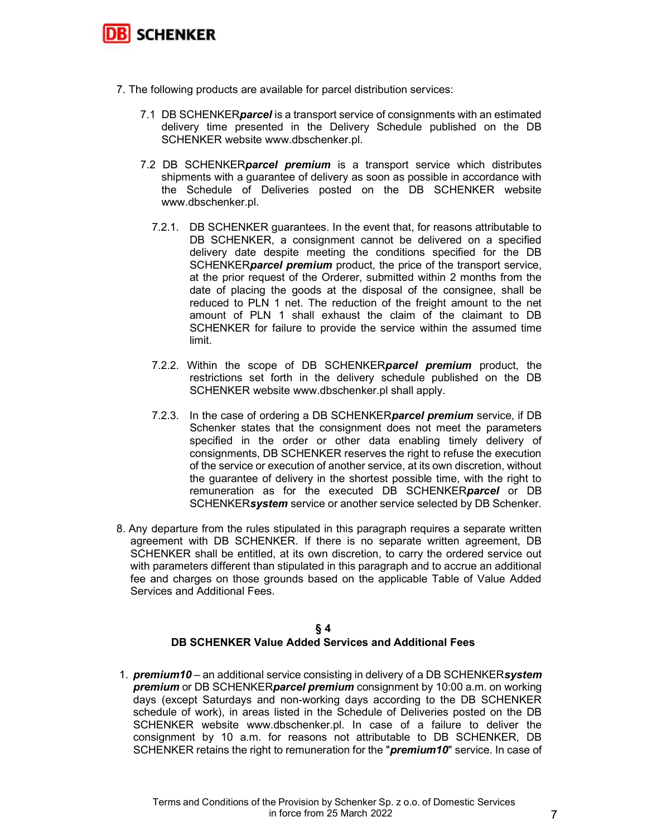

- 7. The following products are available for parcel distribution services:
	- 7.1 DB SCHENKER**parcel** is a transport service of consignments with an estimated delivery time presented in the Delivery Schedule published on the DB SCHENKER website www.dbschenker.pl.
	- 7.2 DB SCHENKER**parcel premium** is a transport service which distributes shipments with a guarantee of delivery as soon as possible in accordance with the Schedule of Deliveries posted on the DB SCHENKER website www.dbschenker.pl.
		- 7.2.1. DB SCHENKER guarantees. In the event that, for reasons attributable to DB SCHENKER, a consignment cannot be delivered on a specified delivery date despite meeting the conditions specified for the DB SCHENKER**parcel premium** product, the price of the transport service, at the prior request of the Orderer, submitted within 2 months from the date of placing the goods at the disposal of the consignee, shall be reduced to PLN 1 net. The reduction of the freight amount to the net amount of PLN 1 shall exhaust the claim of the claimant to DB SCHENKER for failure to provide the service within the assumed time limit.
		- 7.2.2. Within the scope of DB SCHENKERparcel premium product, the restrictions set forth in the delivery schedule published on the DB SCHENKER website www.dbschenker.pl shall apply.
		- 7.2.3. In the case of ordering a DB SCHENKER**parcel premium** service, if DB Schenker states that the consignment does not meet the parameters specified in the order or other data enabling timely delivery of consignments, DB SCHENKER reserves the right to refuse the execution of the service or execution of another service, at its own discretion, without the guarantee of delivery in the shortest possible time, with the right to remuneration as for the executed DB SCHENKERparcel or DB SCHENKERsystem service or another service selected by DB Schenker.
- 8. Any departure from the rules stipulated in this paragraph requires a separate written agreement with DB SCHENKER. If there is no separate written agreement, DB SCHENKER shall be entitled, at its own discretion, to carry the ordered service out with parameters different than stipulated in this paragraph and to accrue an additional fee and charges on those grounds based on the applicable Table of Value Added Services and Additional Fees.

#### § 4 DB SCHENKER Value Added Services and Additional Fees

1. **premium10** – an additional service consisting in delivery of a DB SCHENKERsystem **premium** or DB SCHENKER**parcel premium** consignment by 10:00 a.m. on working days (except Saturdays and non-working days according to the DB SCHENKER schedule of work), in areas listed in the Schedule of Deliveries posted on the DB SCHENKER website www.dbschenker.pl. In case of a failure to deliver the consignment by 10 a.m. for reasons not attributable to DB SCHENKER, DB SCHENKER retains the right to remuneration for the "**premium10**" service. In case of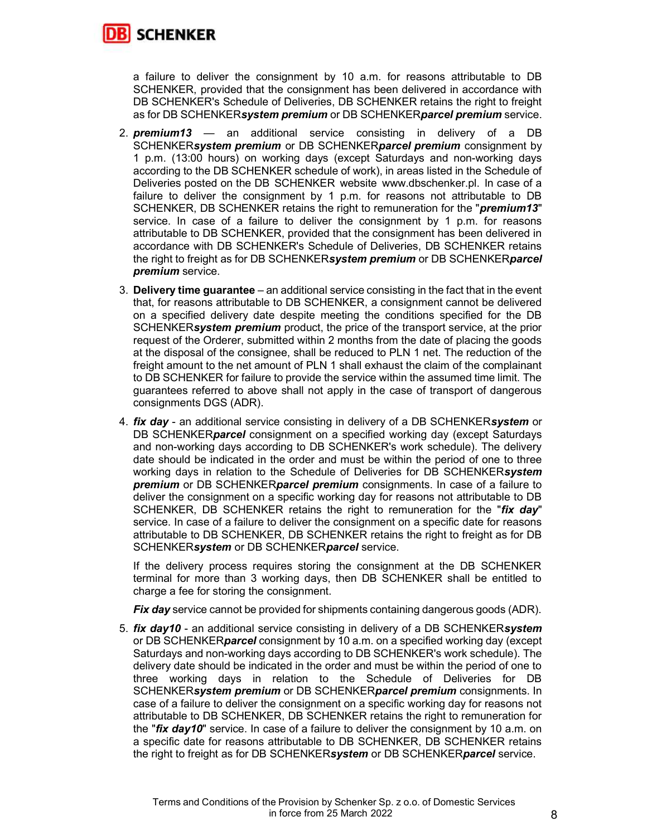

a failure to deliver the consignment by 10 a.m. for reasons attributable to DB SCHENKER, provided that the consignment has been delivered in accordance with DB SCHENKER's Schedule of Deliveries, DB SCHENKER retains the right to freight as for DB SCHENKERsystem premium or DB SCHENKERparcel premium service.

- 2. **premium13** an additional service consisting in delivery of a DB SCHENKERsystem premium or DB SCHENKERparcel premium consignment by 1 p.m. (13:00 hours) on working days (except Saturdays and non-working days according to the DB SCHENKER schedule of work), in areas listed in the Schedule of Deliveries posted on the DB SCHENKER website www.dbschenker.pl. In case of a failure to deliver the consignment by 1 p.m. for reasons not attributable to DB SCHENKER, DB SCHENKER retains the right to remuneration for the "*premium13*" service. In case of a failure to deliver the consignment by 1 p.m. for reasons attributable to DB SCHENKER, provided that the consignment has been delivered in accordance with DB SCHENKER's Schedule of Deliveries, DB SCHENKER retains the right to freight as for DB SCHENKERsystem premium or DB SCHENKERparcel premium service.
- 3. Delivery time guarantee an additional service consisting in the fact that in the event that, for reasons attributable to DB SCHENKER, a consignment cannot be delivered on a specified delivery date despite meeting the conditions specified for the DB SCHENKERsystem premium product, the price of the transport service, at the prior request of the Orderer, submitted within 2 months from the date of placing the goods at the disposal of the consignee, shall be reduced to PLN 1 net. The reduction of the freight amount to the net amount of PLN 1 shall exhaust the claim of the complainant to DB SCHENKER for failure to provide the service within the assumed time limit. The guarantees referred to above shall not apply in the case of transport of dangerous consignments DGS (ADR).
- 4. **fix day** an additional service consisting in delivery of a DB SCHENKERsystem or DB SCHENKER**parcel** consignment on a specified working day (except Saturdays and non-working days according to DB SCHENKER's work schedule). The delivery date should be indicated in the order and must be within the period of one to three working days in relation to the Schedule of Deliveries for DB SCHENKERsystem **premium** or DB SCHENKER**parcel premium** consignments. In case of a failure to deliver the consignment on a specific working day for reasons not attributable to DB SCHENKER, DB SCHENKER retains the right to remuneration for the "fix day" service. In case of a failure to deliver the consignment on a specific date for reasons attributable to DB SCHENKER, DB SCHENKER retains the right to freight as for DB SCHENKERsystem or DB SCHENKERparcel service.

If the delivery process requires storing the consignment at the DB SCHENKER terminal for more than 3 working days, then DB SCHENKER shall be entitled to charge a fee for storing the consignment.

Fix day service cannot be provided for shipments containing dangerous goods (ADR).

5. **fix day10** - an additional service consisting in delivery of a DB SCHENKERsystem or DB SCHENKER**parcel** consignment by 10 a.m. on a specified working day (except Saturdays and non-working days according to DB SCHENKER's work schedule). The delivery date should be indicated in the order and must be within the period of one to three working days in relation to the Schedule of Deliveries for DB SCHENKERsystem premium or DB SCHENKERparcel premium consignments. In case of a failure to deliver the consignment on a specific working day for reasons not attributable to DB SCHENKER, DB SCHENKER retains the right to remuneration for the " $fix$  day10" service. In case of a failure to deliver the consignment by 10 a.m. on a specific date for reasons attributable to DB SCHENKER, DB SCHENKER retains the right to freight as for DB SCHENKERsystem or DB SCHENKERparcel service.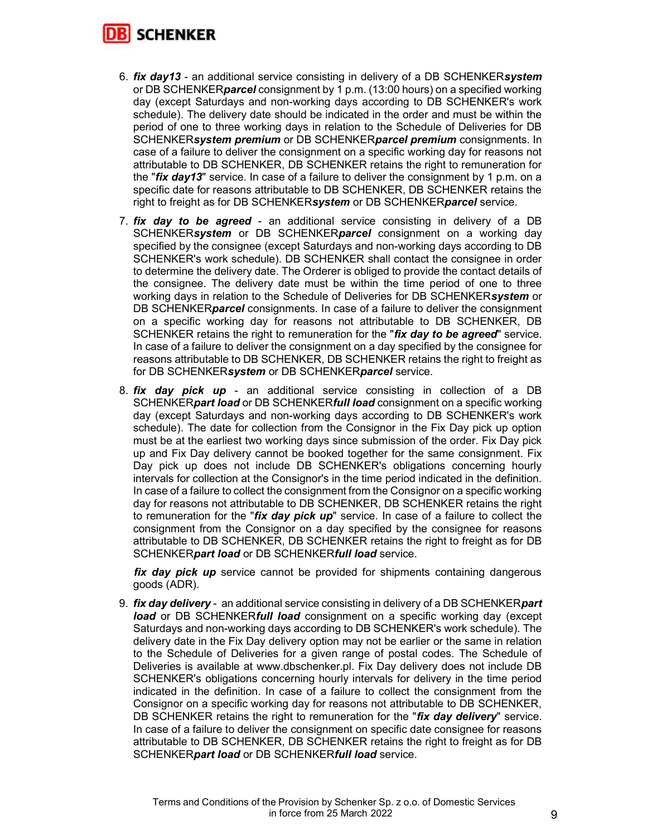

- 6. *fix day13* an additional service consisting in delivery of a DB SCHENKERsystem or DB SCHENKER*parcel* consignment by 1 p.m. (13:00 hours) on a specified working day (except Saturdays and non-working days according to DB SCHENKER's work schedule). The delivery date should be indicated in the order and must be within the period of one to three working days in relation to the Schedule of Deliveries for DB SCHENKERsystem premium or DB SCHENKERparcel premium consignments. In case of a failure to deliver the consignment on a specific working day for reasons not attributable to DB SCHENKER, DB SCHENKER retains the right to remuneration for the " $fix$  day13" service. In case of a failure to deliver the consignment by 1 p.m. on a specific date for reasons attributable to DB SCHENKER, DB SCHENKER retains the right to freight as for DB SCHENKERsystem or DB SCHENKERparcel service.
- 7. fix day to be agreed an additional service consisting in delivery of a DB SCHENKERsystem or DB SCHENKERparcel consignment on a working day specified by the consignee (except Saturdays and non-working days according to DB SCHENKER's work schedule). DB SCHENKER shall contact the consignee in order to determine the delivery date. The Orderer is obliged to provide the contact details of the consignee. The delivery date must be within the time period of one to three working days in relation to the Schedule of Deliveries for DB SCHENKERsystem or DB SCHENKER**parcel** consignments. In case of a failure to deliver the consignment on a specific working day for reasons not attributable to DB SCHENKER, DB SCHENKER retains the right to remuneration for the "fix day to be agreed" service. In case of a failure to deliver the consignment on a day specified by the consignee for reasons attributable to DB SCHENKER, DB SCHENKER retains the right to freight as for DB SCHENKERsystem or DB SCHENKERparcel service.
- 8. fix day pick up an additional service consisting in collection of a DB SCHENKER*part load* or DB SCHENKER*full load* consignment on a specific working day (except Saturdays and non-working days according to DB SCHENKER's work schedule). The date for collection from the Consignor in the Fix Day pick up option must be at the earliest two working days since submission of the order. Fix Day pick up and Fix Day delivery cannot be booked together for the same consignment. Fix Day pick up does not include DB SCHENKER's obligations concerning hourly intervals for collection at the Consignor's in the time period indicated in the definition. In case of a failure to collect the consignment from the Consignor on a specific working day for reasons not attributable to DB SCHENKER, DB SCHENKER retains the right to remuneration for the "*fix day pick up*" service. In case of a failure to collect the consignment from the Consignor on a day specified by the consignee for reasons attributable to DB SCHENKER, DB SCHENKER retains the right to freight as for DB SCHENKERpart load or DB SCHENKERfull load service.

**fix day pick up** service cannot be provided for shipments containing dangerous goods (ADR).

9. *fix day delivery* - an additional service consisting in delivery of a DB SCHENKER*part* load or DB SCHENKERfull load consignment on a specific working day (except Saturdays and non-working days according to DB SCHENKER's work schedule). The delivery date in the Fix Day delivery option may not be earlier or the same in relation to the Schedule of Deliveries for a given range of postal codes. The Schedule of Deliveries is available at www.dbschenker.pl. Fix Day delivery does not include DB SCHENKER's obligations concerning hourly intervals for delivery in the time period indicated in the definition. In case of a failure to collect the consignment from the Consignor on a specific working day for reasons not attributable to DB SCHENKER, DB SCHENKER retains the right to remuneration for the " $fix$  day delivery" service. In case of a failure to deliver the consignment on specific date consignee for reasons attributable to DB SCHENKER, DB SCHENKER retains the right to freight as for DB SCHENKERpart load or DB SCHENKERfull load service.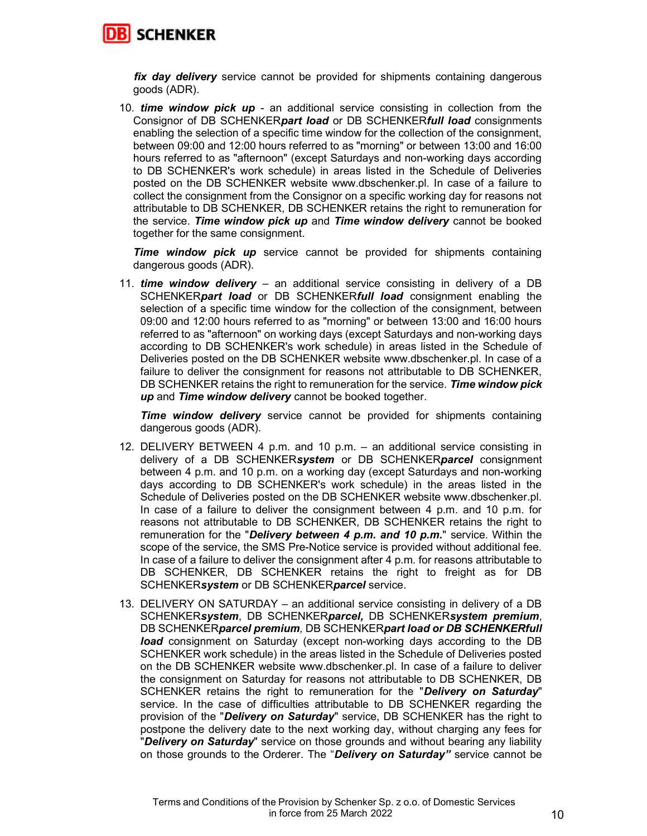

**fix day delivery** service cannot be provided for shipments containing dangerous goods (ADR).

10. **time window pick up** - an additional service consisting in collection from the Consignor of DB SCHENKERpart load or DB SCHENKERfull load consignments enabling the selection of a specific time window for the collection of the consignment, between 09:00 and 12:00 hours referred to as "morning" or between 13:00 and 16:00 hours referred to as "afternoon" (except Saturdays and non-working days according to DB SCHENKER's work schedule) in areas listed in the Schedule of Deliveries posted on the DB SCHENKER website www.dbschenker.pl. In case of a failure to collect the consignment from the Consignor on a specific working day for reasons not attributable to DB SCHENKER, DB SCHENKER retains the right to remuneration for the service. Time window pick up and Time window delivery cannot be booked together for the same consignment.

**Time window pick up** service cannot be provided for shipments containing dangerous goods (ADR).

11. **time window delivery** – an additional service consisting in delivery of a DB SCHENKERpart load or DB SCHENKERfull load consignment enabling the selection of a specific time window for the collection of the consignment, between 09:00 and 12:00 hours referred to as "morning" or between 13:00 and 16:00 hours referred to as "afternoon" on working days (except Saturdays and non-working days according to DB SCHENKER's work schedule) in areas listed in the Schedule of Deliveries posted on the DB SCHENKER website www.dbschenker.pl. In case of a failure to deliver the consignment for reasons not attributable to DB SCHENKER, DB SCHENKER retains the right to remuneration for the service. Time window pick up and Time window delivery cannot be booked together.

**Time window delivery** service cannot be provided for shipments containing dangerous goods (ADR).

- 12. DELIVERY BETWEEN 4 p.m. and 10 p.m. an additional service consisting in delivery of a DB SCHENKERsystem or DB SCHENKERparcel consignment between 4 p.m. and 10 p.m. on a working day (except Saturdays and non-working days according to DB SCHENKER's work schedule) in the areas listed in the Schedule of Deliveries posted on the DB SCHENKER website www.dbschenker.pl. In case of a failure to deliver the consignment between 4 p.m. and 10 p.m. for reasons not attributable to DB SCHENKER, DB SCHENKER retains the right to remuneration for the "Delivery between 4  $p.m.$  and 10  $p.m.$ " service. Within the scope of the service, the SMS Pre-Notice service is provided without additional fee. In case of a failure to deliver the consignment after 4 p.m. for reasons attributable to DB SCHENKER, DB SCHENKER retains the right to freight as for DB SCHENKERsystem or DB SCHENKERparcel service.
- 13. DELIVERY ON SATURDAY an additional service consisting in delivery of a DB SCHENKERsystem, DB SCHENKERparcel, DB SCHENKERsystem premium, DB SCHENKERparcel premium, DB SCHENKERpart load or DB SCHENKERfull **load** consignment on Saturday (except non-working days according to the DB SCHENKER work schedule) in the areas listed in the Schedule of Deliveries posted on the DB SCHENKER website www.dbschenker.pl. In case of a failure to deliver the consignment on Saturday for reasons not attributable to DB SCHENKER, DB SCHENKER retains the right to remuneration for the "Delivery on Saturday" service. In the case of difficulties attributable to DB SCHENKER regarding the provision of the "Delivery on Saturday" service, DB SCHENKER has the right to postpone the delivery date to the next working day, without charging any fees for "Delivery on Saturday" service on those grounds and without bearing any liability on those grounds to the Orderer. The "**Delivery on Saturday**" service cannot be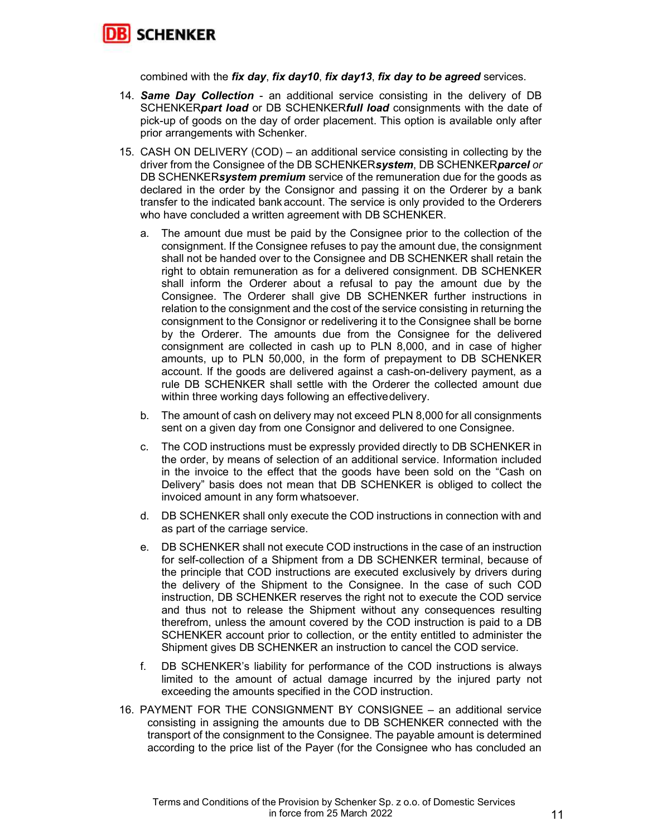

combined with the fix day, fix day10, fix day13, fix day to be agreed services.

- 14. **Same Day Collection** an additional service consisting in the delivery of DB SCHENKER*part load* or DB SCHENKER*full load* consignments with the date of pick-up of goods on the day of order placement. This option is available only after prior arrangements with Schenker.
- 15. CASH ON DELIVERY (COD) an additional service consisting in collecting by the driver from the Consignee of the DB SCHENKERsystem, DB SCHENKERparcel or DB SCHENKERsystem premium service of the remuneration due for the goods as declared in the order by the Consignor and passing it on the Orderer by a bank transfer to the indicated bank account. The service is only provided to the Orderers who have concluded a written agreement with DB SCHENKER.
	- a. The amount due must be paid by the Consignee prior to the collection of the consignment. If the Consignee refuses to pay the amount due, the consignment shall not be handed over to the Consignee and DB SCHENKER shall retain the right to obtain remuneration as for a delivered consignment. DB SCHENKER shall inform the Orderer about a refusal to pay the amount due by the Consignee. The Orderer shall give DB SCHENKER further instructions in relation to the consignment and the cost of the service consisting in returning the consignment to the Consignor or redelivering it to the Consignee shall be borne by the Orderer. The amounts due from the Consignee for the delivered consignment are collected in cash up to PLN 8,000, and in case of higher amounts, up to PLN 50,000, in the form of prepayment to DB SCHENKER account. If the goods are delivered against a cash-on-delivery payment, as a rule DB SCHENKER shall settle with the Orderer the collected amount due within three working days following an effective delivery.
	- b. The amount of cash on delivery may not exceed PLN 8,000 for all consignments sent on a given day from one Consignor and delivered to one Consignee.
	- c. The COD instructions must be expressly provided directly to DB SCHENKER in the order, by means of selection of an additional service. Information included in the invoice to the effect that the goods have been sold on the "Cash on Delivery" basis does not mean that DB SCHENKER is obliged to collect the invoiced amount in any form whatsoever.
	- d. DB SCHENKER shall only execute the COD instructions in connection with and as part of the carriage service.
	- e. DB SCHENKER shall not execute COD instructions in the case of an instruction for self-collection of a Shipment from a DB SCHENKER terminal, because of the principle that COD instructions are executed exclusively by drivers during the delivery of the Shipment to the Consignee. In the case of such COD instruction, DB SCHENKER reserves the right not to execute the COD service and thus not to release the Shipment without any consequences resulting therefrom, unless the amount covered by the COD instruction is paid to a DB SCHENKER account prior to collection, or the entity entitled to administer the Shipment gives DB SCHENKER an instruction to cancel the COD service.
	- f. DB SCHENKER's liability for performance of the COD instructions is always limited to the amount of actual damage incurred by the injured party not exceeding the amounts specified in the COD instruction.
- 16. PAYMENT FOR THE CONSIGNMENT BY CONSIGNEE an additional service consisting in assigning the amounts due to DB SCHENKER connected with the transport of the consignment to the Consignee. The payable amount is determined according to the price list of the Payer (for the Consignee who has concluded an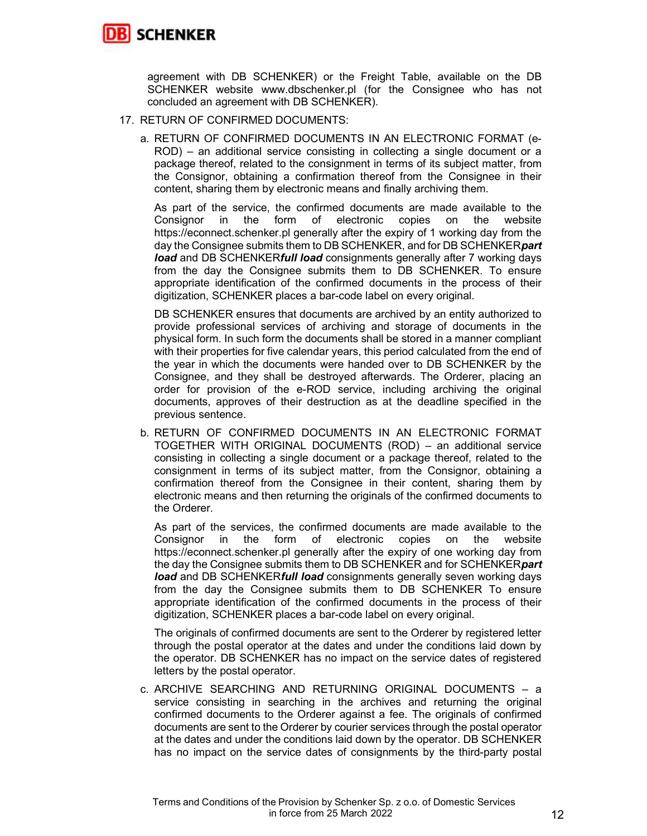

agreement with DB SCHENKER) or the Freight Table, available on the DB SCHENKER website www.dbschenker.pl (for the Consignee who has not concluded an agreement with DB SCHENKER).

- 17. RETURN OF CONFIRMED DOCUMENTS:
	- a. RETURN OF CONFIRMED DOCUMENTS IN AN ELECTRONIC FORMAT (e-ROD) – an additional service consisting in collecting a single document or a package thereof, related to the consignment in terms of its subject matter, from the Consignor, obtaining a confirmation thereof from the Consignee in their content, sharing them by electronic means and finally archiving them.

As part of the service, the confirmed documents are made available to the Consignor in the form of electronic copies on the website https://econnect.schenker.pl generally after the expiry of 1 working day from the day the Consignee submits them to DB SCHENKER, and for DB SCHENKER part load and DB SCHENKERfull load consignments generally after 7 working days from the day the Consignee submits them to DB SCHENKER. To ensure appropriate identification of the confirmed documents in the process of their digitization, SCHENKER places a bar-code label on every original.

DB SCHENKER ensures that documents are archived by an entity authorized to provide professional services of archiving and storage of documents in the physical form. In such form the documents shall be stored in a manner compliant with their properties for five calendar years, this period calculated from the end of the year in which the documents were handed over to DB SCHENKER by the Consignee, and they shall be destroyed afterwards. The Orderer, placing an order for provision of the e-ROD service, including archiving the original documents, approves of their destruction as at the deadline specified in the previous sentence.

b. RETURN OF CONFIRMED DOCUMENTS IN AN ELECTRONIC FORMAT TOGETHER WITH ORIGINAL DOCUMENTS (ROD) – an additional service consisting in collecting a single document or a package thereof, related to the consignment in terms of its subject matter, from the Consignor, obtaining a confirmation thereof from the Consignee in their content, sharing them by electronic means and then returning the originals of the confirmed documents to the Orderer.

As part of the services, the confirmed documents are made available to the Consignor in the form of electronic copies on the website https://econnect.schenker.pl generally after the expiry of one working day from the day the Consignee submits them to DB SCHENKER and for SCHENKERpart **load** and DB SCHENKER**full load** consignments generally seven working days from the day the Consignee submits them to DB SCHENKER To ensure appropriate identification of the confirmed documents in the process of their digitization, SCHENKER places a bar-code label on every original.

The originals of confirmed documents are sent to the Orderer by registered letter through the postal operator at the dates and under the conditions laid down by the operator. DB SCHENKER has no impact on the service dates of registered letters by the postal operator.

c. ARCHIVE SEARCHING AND RETURNING ORIGINAL DOCUMENTS – a service consisting in searching in the archives and returning the original confirmed documents to the Orderer against a fee. The originals of confirmed documents are sent to the Orderer by courier services through the postal operator at the dates and under the conditions laid down by the operator. DB SCHENKER has no impact on the service dates of consignments by the third-party postal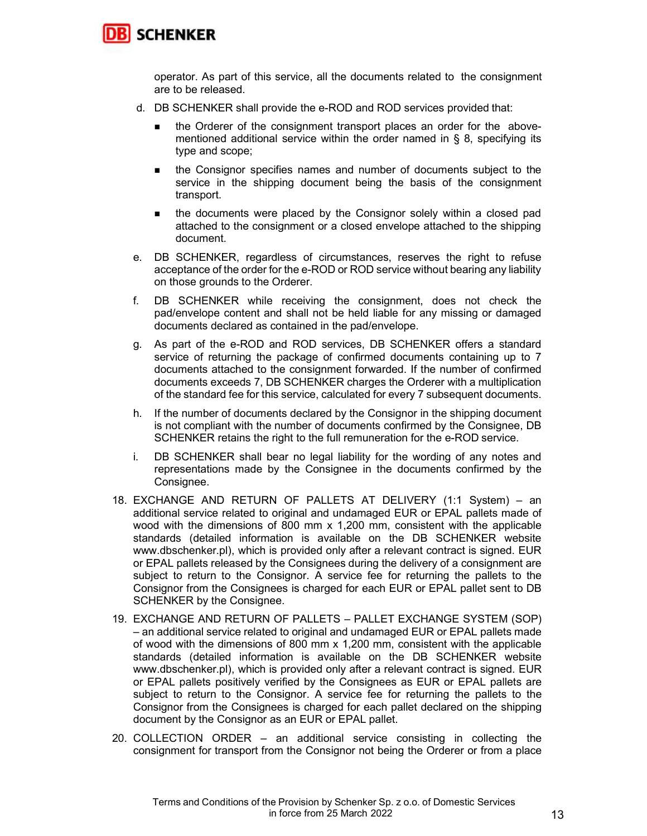

operator. As part of this service, all the documents related to the consignment are to be released.

- d. DB SCHENKER shall provide the e-ROD and ROD services provided that:
	- the Orderer of the consignment transport places an order for the abovementioned additional service within the order named in § 8, specifying its type and scope;
	- the Consignor specifies names and number of documents subject to the service in the shipping document being the basis of the consignment transport.
	- the documents were placed by the Consignor solely within a closed pad attached to the consignment or a closed envelope attached to the shipping document.
- e. DB SCHENKER, regardless of circumstances, reserves the right to refuse acceptance of the order for the e-ROD or ROD service without bearing any liability on those grounds to the Orderer.
- f. DB SCHENKER while receiving the consignment, does not check the pad/envelope content and shall not be held liable for any missing or damaged documents declared as contained in the pad/envelope.
- g. As part of the e-ROD and ROD services, DB SCHENKER offers a standard service of returning the package of confirmed documents containing up to 7 documents attached to the consignment forwarded. If the number of confirmed documents exceeds 7, DB SCHENKER charges the Orderer with a multiplication of the standard fee for this service, calculated for every 7 subsequent documents.
- h. If the number of documents declared by the Consignor in the shipping document is not compliant with the number of documents confirmed by the Consignee, DB SCHENKER retains the right to the full remuneration for the e-ROD service.
- i. DB SCHENKER shall bear no legal liability for the wording of any notes and representations made by the Consignee in the documents confirmed by the Consignee.
- 18. EXCHANGE AND RETURN OF PALLETS AT DELIVERY (1:1 System) an additional service related to original and undamaged EUR or EPAL pallets made of wood with the dimensions of 800 mm x 1,200 mm, consistent with the applicable standards (detailed information is available on the DB SCHENKER website www.dbschenker.pl), which is provided only after a relevant contract is signed. EUR or EPAL pallets released by the Consignees during the delivery of a consignment are subject to return to the Consignor. A service fee for returning the pallets to the Consignor from the Consignees is charged for each EUR or EPAL pallet sent to DB SCHENKER by the Consignee.
- 19. EXCHANGE AND RETURN OF PALLETS PALLET EXCHANGE SYSTEM (SOP) – an additional service related to original and undamaged EUR or EPAL pallets made of wood with the dimensions of 800 mm x 1,200 mm, consistent with the applicable standards (detailed information is available on the DB SCHENKER website www.dbschenker.pl), which is provided only after a relevant contract is signed. EUR or EPAL pallets positively verified by the Consignees as EUR or EPAL pallets are subject to return to the Consignor. A service fee for returning the pallets to the Consignor from the Consignees is charged for each pallet declared on the shipping document by the Consignor as an EUR or EPAL pallet.
- 20. COLLECTION ORDER an additional service consisting in collecting the consignment for transport from the Consignor not being the Orderer or from a place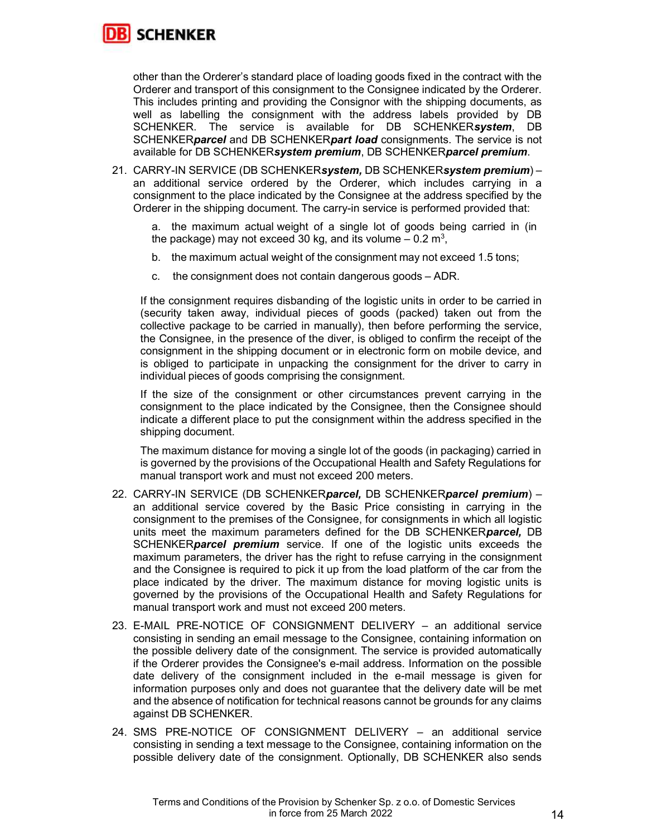

other than the Orderer's standard place of loading goods fixed in the contract with the Orderer and transport of this consignment to the Consignee indicated by the Orderer. This includes printing and providing the Consignor with the shipping documents, as well as labelling the consignment with the address labels provided by DB SCHENKER. The service is available for DB SCHENKERsystem, DB SCHENKERparcel and DB SCHENKERpart load consignments. The service is not available for DB SCHENKERsystem premium, DB SCHENKERparcel premium.

21. CARRY-IN SERVICE (DB SCHENKERsystem, DB SCHENKERsystem premium) an additional service ordered by the Orderer, which includes carrying in a consignment to the place indicated by the Consignee at the address specified by the Orderer in the shipping document. The carry-in service is performed provided that:

a. the maximum actual weight of a single lot of goods being carried in (in the package) may not exceed 30 kg, and its volume  $-$  0.2 m<sup>3</sup>,

- b. the maximum actual weight of the consignment may not exceed 1.5 tons;
- c. the consignment does not contain dangerous goods ADR.

If the consignment requires disbanding of the logistic units in order to be carried in (security taken away, individual pieces of goods (packed) taken out from the collective package to be carried in manually), then before performing the service, the Consignee, in the presence of the diver, is obliged to confirm the receipt of the consignment in the shipping document or in electronic form on mobile device, and is obliged to participate in unpacking the consignment for the driver to carry in individual pieces of goods comprising the consignment.

If the size of the consignment or other circumstances prevent carrying in the consignment to the place indicated by the Consignee, then the Consignee should indicate a different place to put the consignment within the address specified in the shipping document.

The maximum distance for moving a single lot of the goods (in packaging) carried in is governed by the provisions of the Occupational Health and Safety Regulations for manual transport work and must not exceed 200 meters.

- 22. CARRY-IN SERVICE (DB SCHENKERparcel, DB SCHENKERparcel premium) an additional service covered by the Basic Price consisting in carrying in the consignment to the premises of the Consignee, for consignments in which all logistic units meet the maximum parameters defined for the DB SCHENKER*parcel*, DB SCHENKER*parcel premium* service. If one of the logistic units exceeds the maximum parameters, the driver has the right to refuse carrying in the consignment and the Consignee is required to pick it up from the load platform of the car from the place indicated by the driver. The maximum distance for moving logistic units is governed by the provisions of the Occupational Health and Safety Regulations for manual transport work and must not exceed 200 meters.
- 23. E-MAIL PRE-NOTICE OF CONSIGNMENT DELIVERY an additional service consisting in sending an email message to the Consignee, containing information on the possible delivery date of the consignment. The service is provided automatically if the Orderer provides the Consignee's e-mail address. Information on the possible date delivery of the consignment included in the e-mail message is given for information purposes only and does not guarantee that the delivery date will be met and the absence of notification for technical reasons cannot be grounds for any claims against DB SCHENKER.
- 24. SMS PRE-NOTICE OF CONSIGNMENT DELIVERY an additional service consisting in sending a text message to the Consignee, containing information on the possible delivery date of the consignment. Optionally, DB SCHENKER also sends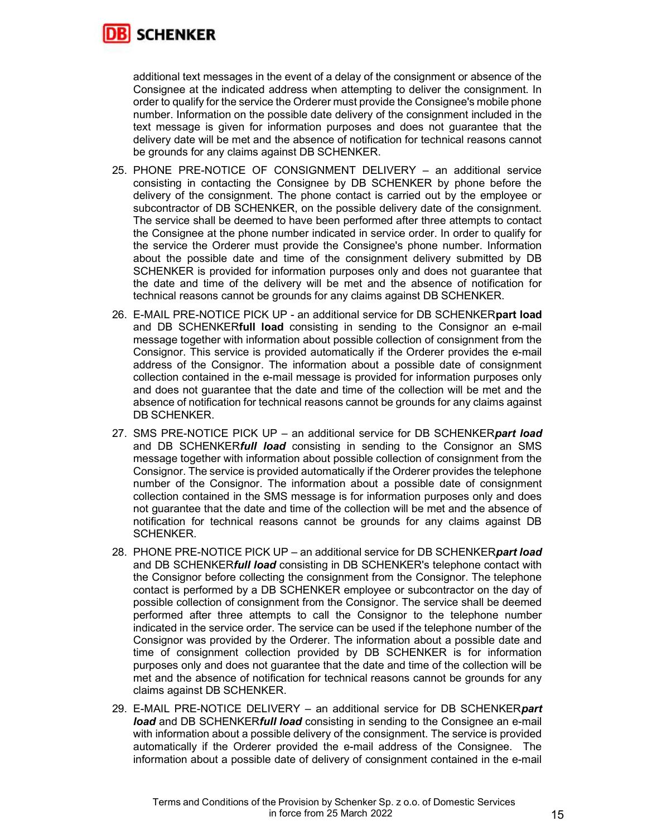

additional text messages in the event of a delay of the consignment or absence of the Consignee at the indicated address when attempting to deliver the consignment. In order to qualify for the service the Orderer must provide the Consignee's mobile phone number. Information on the possible date delivery of the consignment included in the text message is given for information purposes and does not guarantee that the delivery date will be met and the absence of notification for technical reasons cannot be grounds for any claims against DB SCHENKER.

- 25. PHONE PRE-NOTICE OF CONSIGNMENT DELIVERY an additional service consisting in contacting the Consignee by DB SCHENKER by phone before the delivery of the consignment. The phone contact is carried out by the employee or subcontractor of DB SCHENKER, on the possible delivery date of the consignment. The service shall be deemed to have been performed after three attempts to contact the Consignee at the phone number indicated in service order. In order to qualify for the service the Orderer must provide the Consignee's phone number. Information about the possible date and time of the consignment delivery submitted by DB SCHENKER is provided for information purposes only and does not guarantee that the date and time of the delivery will be met and the absence of notification for technical reasons cannot be grounds for any claims against DB SCHENKER.
- 26. E-MAIL PRE-NOTICE PICK UP an additional service for DB SCHENKERpart load and DB SCHENKERfull load consisting in sending to the Consignor an e-mail message together with information about possible collection of consignment from the Consignor. This service is provided automatically if the Orderer provides the e-mail address of the Consignor. The information about a possible date of consignment collection contained in the e-mail message is provided for information purposes only and does not guarantee that the date and time of the collection will be met and the absence of notification for technical reasons cannot be grounds for any claims against DB SCHENKER.
- 27. SMS PRE-NOTICE PICK UP an additional service for DB SCHENKERpart load and DB SCHENKER**full load** consisting in sending to the Consignor an SMS message together with information about possible collection of consignment from the Consignor. The service is provided automatically if the Orderer provides the telephone number of the Consignor. The information about a possible date of consignment collection contained in the SMS message is for information purposes only and does not guarantee that the date and time of the collection will be met and the absence of notification for technical reasons cannot be grounds for any claims against DB SCHENKER.
- 28. PHONE PRE-NOTICE PICK UP an additional service for DB SCHENKERpart load and DB SCHENKER**full load** consisting in DB SCHENKER's telephone contact with the Consignor before collecting the consignment from the Consignor. The telephone contact is performed by a DB SCHENKER employee or subcontractor on the day of possible collection of consignment from the Consignor. The service shall be deemed performed after three attempts to call the Consignor to the telephone number indicated in the service order. The service can be used if the telephone number of the Consignor was provided by the Orderer. The information about a possible date and time of consignment collection provided by DB SCHENKER is for information purposes only and does not guarantee that the date and time of the collection will be met and the absence of notification for technical reasons cannot be grounds for any claims against DB SCHENKER.
- 29. E-MAIL PRE-NOTICE DELIVERY an additional service for DB SCHENKERpart *load* and DB SCHENKERfull load consisting in sending to the Consignee an e-mail with information about a possible delivery of the consignment. The service is provided automatically if the Orderer provided the e-mail address of the Consignee. The information about a possible date of delivery of consignment contained in the e-mail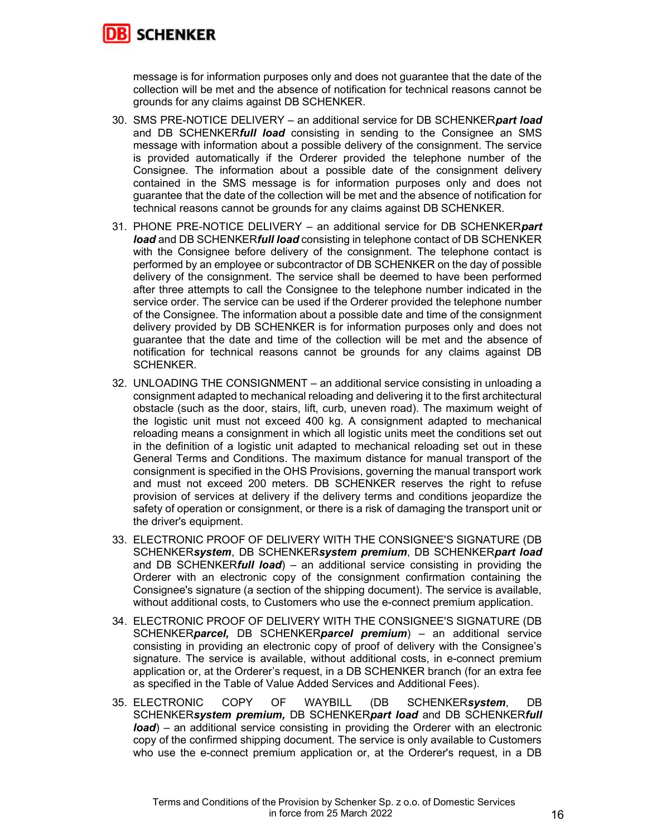

message is for information purposes only and does not guarantee that the date of the collection will be met and the absence of notification for technical reasons cannot be grounds for any claims against DB SCHENKER.

- 30. SMS PRE-NOTICE DELIVERY an additional service for DB SCHENKERpart load and DB SCHENKERfull load consisting in sending to the Consignee an SMS message with information about a possible delivery of the consignment. The service is provided automatically if the Orderer provided the telephone number of the Consignee. The information about a possible date of the consignment delivery contained in the SMS message is for information purposes only and does not guarantee that the date of the collection will be met and the absence of notification for technical reasons cannot be grounds for any claims against DB SCHENKER.
- 31. PHONE PRE-NOTICE DELIVERY an additional service for DB SCHENKERpart *load* and DB SCHENKER**full load** consisting in telephone contact of DB SCHENKER with the Consignee before delivery of the consignment. The telephone contact is performed by an employee or subcontractor of DB SCHENKER on the day of possible delivery of the consignment. The service shall be deemed to have been performed after three attempts to call the Consignee to the telephone number indicated in the service order. The service can be used if the Orderer provided the telephone number of the Consignee. The information about a possible date and time of the consignment delivery provided by DB SCHENKER is for information purposes only and does not guarantee that the date and time of the collection will be met and the absence of notification for technical reasons cannot be grounds for any claims against DB SCHENKER.
- 32. UNLOADING THE CONSIGNMENT an additional service consisting in unloading a consignment adapted to mechanical reloading and delivering it to the first architectural obstacle (such as the door, stairs, lift, curb, uneven road). The maximum weight of the logistic unit must not exceed 400 kg. A consignment adapted to mechanical reloading means a consignment in which all logistic units meet the conditions set out in the definition of a logistic unit adapted to mechanical reloading set out in these General Terms and Conditions. The maximum distance for manual transport of the consignment is specified in the OHS Provisions, governing the manual transport work and must not exceed 200 meters. DB SCHENKER reserves the right to refuse provision of services at delivery if the delivery terms and conditions jeopardize the safety of operation or consignment, or there is a risk of damaging the transport unit or the driver's equipment.
- 33. ELECTRONIC PROOF OF DELIVERY WITH THE CONSIGNEE'S SIGNATURE (DB SCHENKERsystem, DB SCHENKERsystem premium, DB SCHENKERpart load and DB SCHENKER**full load**) – an additional service consisting in providing the Orderer with an electronic copy of the consignment confirmation containing the Consignee's signature (a section of the shipping document). The service is available, without additional costs, to Customers who use the e-connect premium application.
- 34. ELECTRONIC PROOF OF DELIVERY WITH THE CONSIGNEE'S SIGNATURE (DB SCHENKERparcel, DB SCHENKERparcel premium) - an additional service consisting in providing an electronic copy of proof of delivery with the Consignee's signature. The service is available, without additional costs, in e-connect premium application or, at the Orderer's request, in a DB SCHENKER branch (for an extra fee as specified in the Table of Value Added Services and Additional Fees).
- 35. ELECTRONIC COPY OF WAYBILL (DB SCHENKERsystem, DB SCHENKERsystem premium, DB SCHENKERpart load and DB SCHENKERfull *load*) – an additional service consisting in providing the Orderer with an electronic copy of the confirmed shipping document. The service is only available to Customers who use the e-connect premium application or, at the Orderer's request, in a DB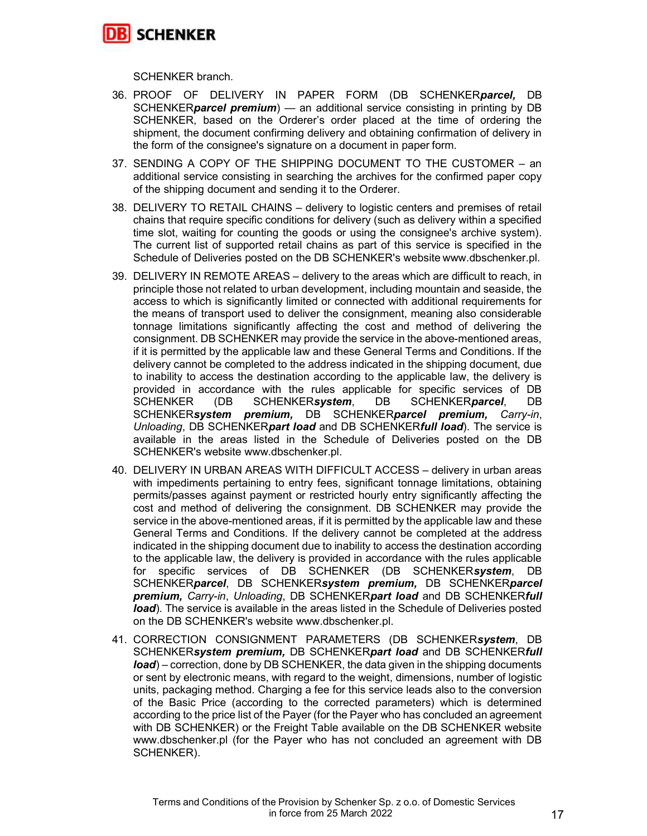

SCHENKER branch.

- 36. PROOF OF DELIVERY IN PAPER FORM (DB SCHENKERparcel, DB SCHENKER**parcel premium**) — an additional service consisting in printing by DB SCHENKER, based on the Orderer's order placed at the time of ordering the shipment, the document confirming delivery and obtaining confirmation of delivery in the form of the consignee's signature on a document in paper form.
- 37. SENDING A COPY OF THE SHIPPING DOCUMENT TO THE CUSTOMER an additional service consisting in searching the archives for the confirmed paper copy of the shipping document and sending it to the Orderer.
- 38. DELIVERY TO RETAIL CHAINS delivery to logistic centers and premises of retail chains that require specific conditions for delivery (such as delivery within a specified time slot, waiting for counting the goods or using the consignee's archive system). The current list of supported retail chains as part of this service is specified in the Schedule of Deliveries posted on the DB SCHENKER's website www.dbschenker.pl.
- 39. DELIVERY IN REMOTE AREAS delivery to the areas which are difficult to reach, in principle those not related to urban development, including mountain and seaside, the access to which is significantly limited or connected with additional requirements for the means of transport used to deliver the consignment, meaning also considerable tonnage limitations significantly affecting the cost and method of delivering the consignment. DB SCHENKER may provide the service in the above-mentioned areas, if it is permitted by the applicable law and these General Terms and Conditions. If the delivery cannot be completed to the address indicated in the shipping document, due to inability to access the destination according to the applicable law, the delivery is provided in accordance with the rules applicable for specific services of DB<br>SCHENKER (DB SCHENKER**svstem**. DB SCHENKER*parcel*. DB SCHENKER (DB SCHENKERsystem, DB SCHENKERparcel, DB SCHENKERsystem premium, DB SCHENKERparcel premium, Carry-in, Unloading, DB SCHENKERpart load and DB SCHENKERfull load). The service is available in the areas listed in the Schedule of Deliveries posted on the DB SCHENKER's website www.dbschenker.pl.
- 40. DELIVERY IN URBAN AREAS WITH DIFFICULT ACCESS delivery in urban areas with impediments pertaining to entry fees, significant tonnage limitations, obtaining permits/passes against payment or restricted hourly entry significantly affecting the cost and method of delivering the consignment. DB SCHENKER may provide the service in the above-mentioned areas, if it is permitted by the applicable law and these General Terms and Conditions. If the delivery cannot be completed at the address indicated in the shipping document due to inability to access the destination according to the applicable law, the delivery is provided in accordance with the rules applicable for specific services of DB SCHENKER (DB SCHENKERsystem, DB SCHENKERparcel, DB SCHENKERsystem premium, DB SCHENKERparcel premium, Carry-in, Unloading, DB SCHENKERpart load and DB SCHENKERfull load). The service is available in the areas listed in the Schedule of Deliveries posted on the DB SCHENKER's website www.dbschenker.pl.
- 41. CORRECTION CONSIGNMENT PARAMETERS (DB SCHENKERsystem, DB SCHENKERsystem premium, DB SCHENKERpart load and DB SCHENKERfull  $load$ ) – correction, done by DB SCHENKER, the data given in the shipping documents or sent by electronic means, with regard to the weight, dimensions, number of logistic units, packaging method. Charging a fee for this service leads also to the conversion of the Basic Price (according to the corrected parameters) which is determined according to the price list of the Payer (for the Payer who has concluded an agreement with DB SCHENKER) or the Freight Table available on the DB SCHENKER website www.dbschenker.pl (for the Payer who has not concluded an agreement with DB SCHENKER).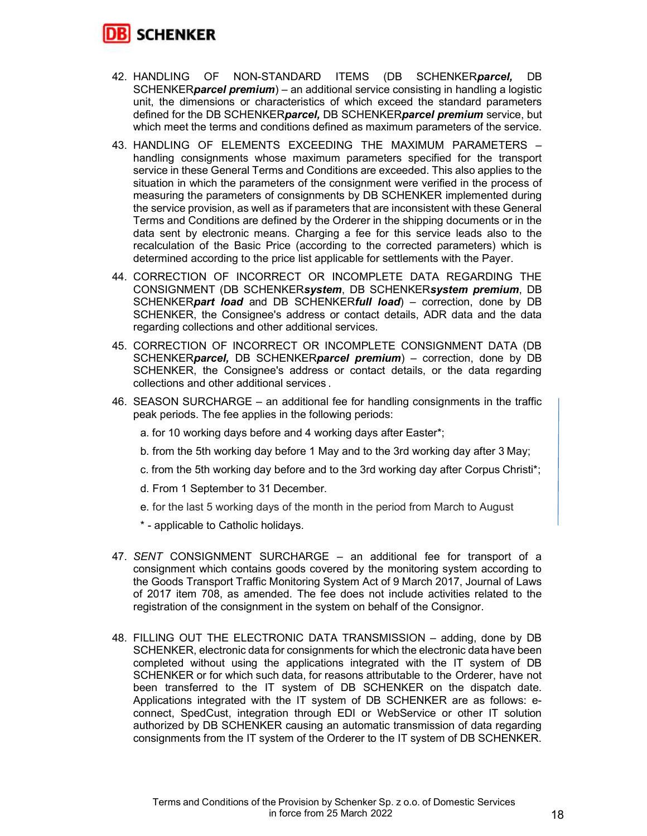

- 42. HANDLING OF NON-STANDARD ITEMS (DB SCHENKER*parcel*, DB SCHENKER*parcel premium*) – an additional service consisting in handling a logistic unit, the dimensions or characteristics of which exceed the standard parameters defined for the DB SCHENKER*parcel*, DB SCHENKER*parcel premium* service, but which meet the terms and conditions defined as maximum parameters of the service.
- 43. HANDLING OF ELEMENTS EXCEEDING THE MAXIMUM PARAMETERS handling consignments whose maximum parameters specified for the transport service in these General Terms and Conditions are exceeded. This also applies to the situation in which the parameters of the consignment were verified in the process of measuring the parameters of consignments by DB SCHENKER implemented during the service provision, as well as if parameters that are inconsistent with these General Terms and Conditions are defined by the Orderer in the shipping documents or in the data sent by electronic means. Charging a fee for this service leads also to the recalculation of the Basic Price (according to the corrected parameters) which is determined according to the price list applicable for settlements with the Payer.
- 44. CORRECTION OF INCORRECT OR INCOMPLETE DATA REGARDING THE CONSIGNMENT (DB SCHENKERsystem, DB SCHENKERsystem premium, DB SCHENKERpart load and DB SCHENKERfull load) – correction, done by DB SCHENKER, the Consignee's address or contact details, ADR data and the data regarding collections and other additional services.
- 45. CORRECTION OF INCORRECT OR INCOMPLETE CONSIGNMENT DATA (DB SCHENKERparcel, DB SCHENKERparcel premium) – correction, done by DB SCHENKER, the Consignee's address or contact details, or the data regarding collections and other additional services .
- 46. SEASON SURCHARGE an additional fee for handling consignments in the traffic peak periods. The fee applies in the following periods:
	- a. for 10 working days before and 4 working days after Easter\*;
	- b. from the 5th working day before 1 May and to the 3rd working day after 3 May;
	- c. from the 5th working day before and to the 3rd working day after Corpus Christi\*;
	- d. From 1 September to 31 December.
	- e. for the last 5 working days of the month in the period from March to August
	- \* applicable to Catholic holidays.
- 47. SENT CONSIGNMENT SURCHARGE an additional fee for transport of a consignment which contains goods covered by the monitoring system according to the Goods Transport Traffic Monitoring System Act of 9 March 2017, Journal of Laws of 2017 item 708, as amended. The fee does not include activities related to the registration of the consignment in the system on behalf of the Consignor.
- 48. FILLING OUT THE ELECTRONIC DATA TRANSMISSION adding, done by DB SCHENKER, electronic data for consignments for which the electronic data have been completed without using the applications integrated with the IT system of DB SCHENKER or for which such data, for reasons attributable to the Orderer, have not been transferred to the IT system of DB SCHENKER on the dispatch date. Applications integrated with the IT system of DB SCHENKER are as follows: econnect, SpedCust, integration through EDI or WebService or other IT solution authorized by DB SCHENKER causing an automatic transmission of data regarding consignments from the IT system of the Orderer to the IT system of DB SCHENKER.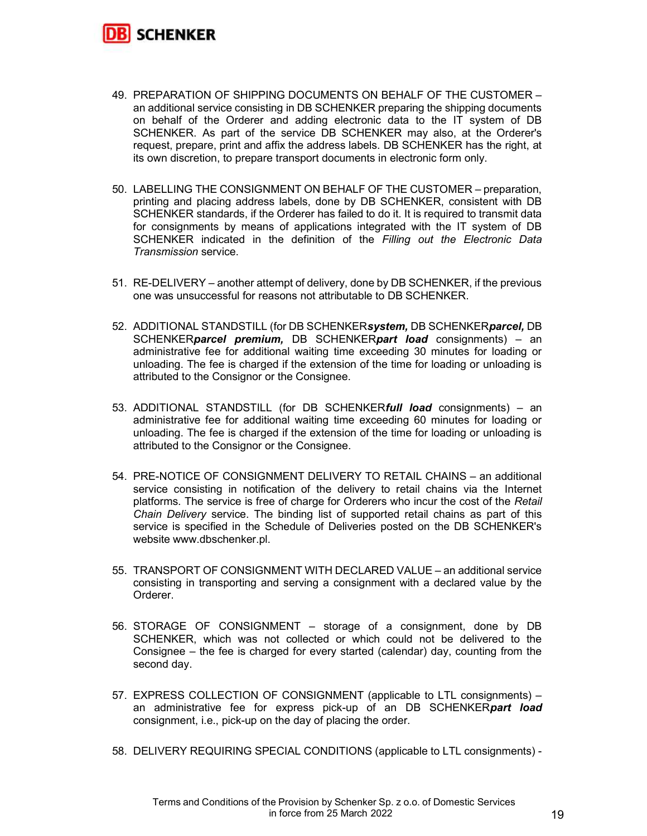

- 49. PREPARATION OF SHIPPING DOCUMENTS ON BEHALF OF THE CUSTOMER an additional service consisting in DB SCHENKER preparing the shipping documents on behalf of the Orderer and adding electronic data to the IT system of DB SCHENKER. As part of the service DB SCHENKER may also, at the Orderer's request, prepare, print and affix the address labels. DB SCHENKER has the right, at its own discretion, to prepare transport documents in electronic form only.
- 50. LABELLING THE CONSIGNMENT ON BEHALF OF THE CUSTOMER preparation, printing and placing address labels, done by DB SCHENKER, consistent with DB SCHENKER standards, if the Orderer has failed to do it. It is required to transmit data for consignments by means of applications integrated with the IT system of DB SCHENKER indicated in the definition of the Filling out the Electronic Data Transmission service.
- 51. RE-DELIVERY another attempt of delivery, done by DB SCHENKER, if the previous one was unsuccessful for reasons not attributable to DB SCHENKER.
- 52. ADDITIONAL STANDSTILL (for DB SCHENKERsystem, DB SCHENKERparcel, DB SCHENKER*parcel premium*, DB SCHENKER*part load* consignments) – an administrative fee for additional waiting time exceeding 30 minutes for loading or unloading. The fee is charged if the extension of the time for loading or unloading is attributed to the Consignor or the Consignee.
- 53. ADDITIONAL STANDSTILL (for DB SCHENKERfull load consignments) an administrative fee for additional waiting time exceeding 60 minutes for loading or unloading. The fee is charged if the extension of the time for loading or unloading is attributed to the Consignor or the Consignee.
- 54. PRE-NOTICE OF CONSIGNMENT DELIVERY TO RETAIL CHAINS an additional service consisting in notification of the delivery to retail chains via the Internet platforms. The service is free of charge for Orderers who incur the cost of the Retail Chain Delivery service. The binding list of supported retail chains as part of this service is specified in the Schedule of Deliveries posted on the DB SCHENKER's website www.dbschenker.pl.
- 55. TRANSPORT OF CONSIGNMENT WITH DECLARED VALUE an additional service consisting in transporting and serving a consignment with a declared value by the Orderer.
- 56. STORAGE OF CONSIGNMENT storage of a consignment, done by DB SCHENKER, which was not collected or which could not be delivered to the Consignee – the fee is charged for every started (calendar) day, counting from the second day.
- 57. EXPRESS COLLECTION OF CONSIGNMENT (applicable to LTL consignments) an administrative fee for express pick-up of an DB SCHENKERpart load consignment, i.e., pick-up on the day of placing the order.
- 58. DELIVERY REQUIRING SPECIAL CONDITIONS (applicable to LTL consignments) -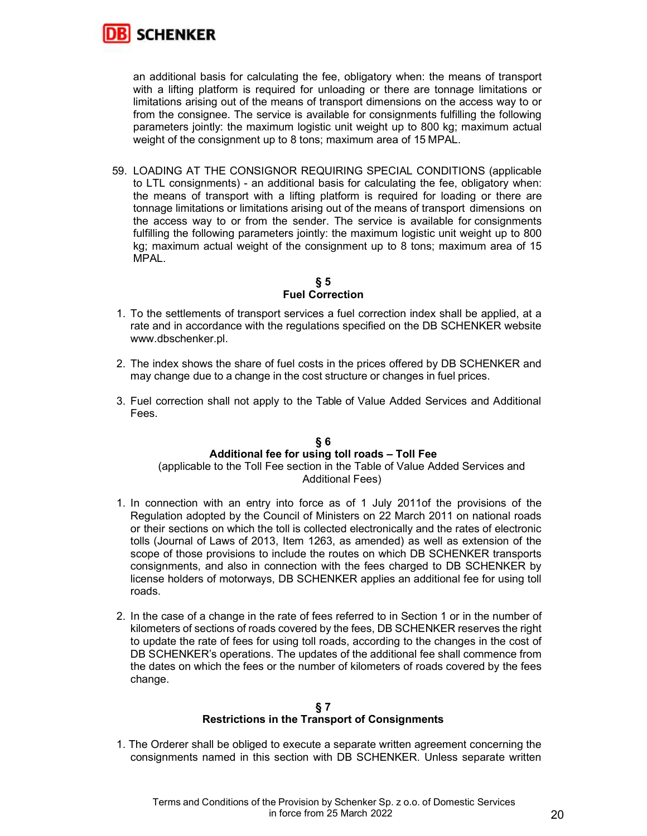

an additional basis for calculating the fee, obligatory when: the means of transport with a lifting platform is required for unloading or there are tonnage limitations or limitations arising out of the means of transport dimensions on the access way to or from the consignee. The service is available for consignments fulfilling the following parameters jointly: the maximum logistic unit weight up to 800 kg; maximum actual weight of the consignment up to 8 tons; maximum area of 15 MPAL.

59. LOADING AT THE CONSIGNOR REQUIRING SPECIAL CONDITIONS (applicable to LTL consignments) - an additional basis for calculating the fee, obligatory when: the means of transport with a lifting platform is required for loading or there are tonnage limitations or limitations arising out of the means of transport dimensions on the access way to or from the sender. The service is available for consignments fulfilling the following parameters jointly: the maximum logistic unit weight up to 800 kg; maximum actual weight of the consignment up to 8 tons; maximum area of 15 MPAL.

# § 5 Fuel Correction

- 1. To the settlements of transport services a fuel correction index shall be applied, at a rate and in accordance with the regulations specified on the DB SCHENKER website www.dbschenker.pl.
- 2. The index shows the share of fuel costs in the prices offered by DB SCHENKER and may change due to a change in the cost structure or changes in fuel prices.
- 3. Fuel correction shall not apply to the Table of Value Added Services and Additional Fees.

# § 6 Additional fee for using toll roads – Toll Fee

(applicable to the Toll Fee section in the Table of Value Added Services and Additional Fees)

- 1. In connection with an entry into force as of 1 July 2011of the provisions of the Regulation adopted by the Council of Ministers on 22 March 2011 on national roads or their sections on which the toll is collected electronically and the rates of electronic tolls (Journal of Laws of 2013, Item 1263, as amended) as well as extension of the scope of those provisions to include the routes on which DB SCHENKER transports consignments, and also in connection with the fees charged to DB SCHENKER by license holders of motorways, DB SCHENKER applies an additional fee for using toll roads.
- 2. In the case of a change in the rate of fees referred to in Section 1 or in the number of kilometers of sections of roads covered by the fees, DB SCHENKER reserves the right to update the rate of fees for using toll roads, according to the changes in the cost of DB SCHENKER's operations. The updates of the additional fee shall commence from the dates on which the fees or the number of kilometers of roads covered by the fees change.

## § 7 Restrictions in the Transport of Consignments

1. The Orderer shall be obliged to execute a separate written agreement concerning the consignments named in this section with DB SCHENKER. Unless separate written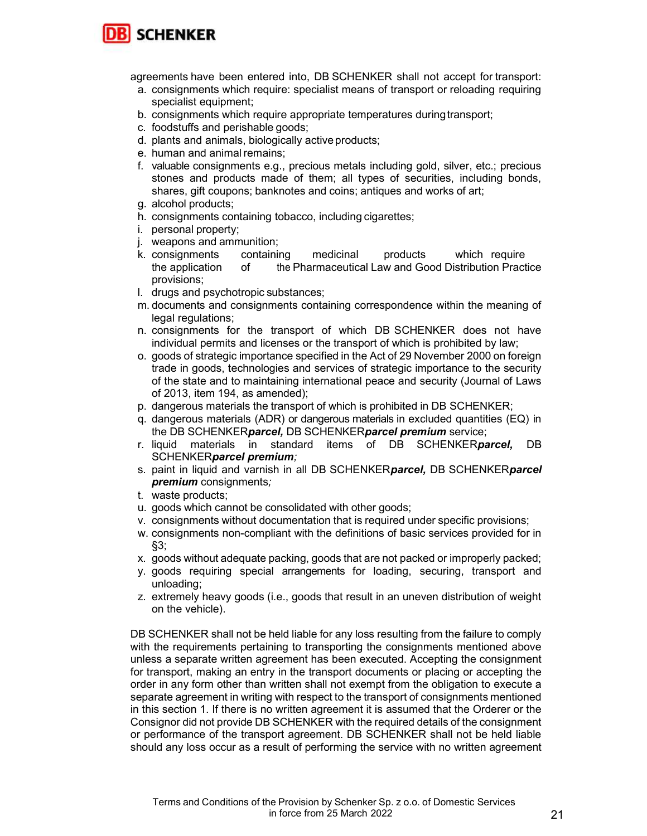

agreements have been entered into, DB SCHENKER shall not accept for transport:

- a. consignments which require: specialist means of transport or reloading requiring specialist equipment;
- b. consignments which require appropriate temperatures during transport;
- c. foodstuffs and perishable goods;
- d. plants and animals, biologically active products;
- e. human and animal remains;
- f. valuable consignments e.g., precious metals including gold, silver, etc.; precious stones and products made of them; all types of securities, including bonds, shares, gift coupons; banknotes and coins; antiques and works of art;
- g. alcohol products;
- h. consignments containing tobacco, including cigarettes;
- i. personal property;
- j. weapons and ammunition;
- k. consignments containing medicinal products which require the application of the Pharmaceutical Law and Good Distribution Practice provisions;
- l. drugs and psychotropic substances;
- m. documents and consignments containing correspondence within the meaning of legal regulations;
- n. consignments for the transport of which DB SCHENKER does not have individual permits and licenses or the transport of which is prohibited by law;
- o. goods of strategic importance specified in the Act of 29 November 2000 on foreign trade in goods, technologies and services of strategic importance to the security of the state and to maintaining international peace and security (Journal of Laws of 2013, item 194, as amended);
- p. dangerous materials the transport of which is prohibited in DB SCHENKER;
- q. dangerous materials (ADR) or dangerous materials in excluded quantities (EQ) in the DB SCHENKERparcel, DB SCHENKERparcel premium service;
- r. liquid materials in standard items of DB SCHENKER*parcel*, DB SCHENKERparcel premium;
- s. paint in liquid and varnish in all DB SCHENKER*parcel,* DB SCHENKER*parcel* premium consignments;
- t. waste products;
- u. goods which cannot be consolidated with other goods;
- v. consignments without documentation that is required under specific provisions;
- w. consignments non-compliant with the definitions of basic services provided for in §3;
- x. goods without adequate packing, goods that are not packed or improperly packed;
- y. goods requiring special arrangements for loading, securing, transport and unloading;
- z. extremely heavy goods (i.e., goods that result in an uneven distribution of weight on the vehicle).

DB SCHENKER shall not be held liable for any loss resulting from the failure to comply with the requirements pertaining to transporting the consignments mentioned above unless a separate written agreement has been executed. Accepting the consignment for transport, making an entry in the transport documents or placing or accepting the order in any form other than written shall not exempt from the obligation to execute a separate agreement in writing with respect to the transport of consignments mentioned in this section 1. If there is no written agreement it is assumed that the Orderer or the Consignor did not provide DB SCHENKER with the required details of the consignment or performance of the transport agreement. DB SCHENKER shall not be held liable should any loss occur as a result of performing the service with no written agreement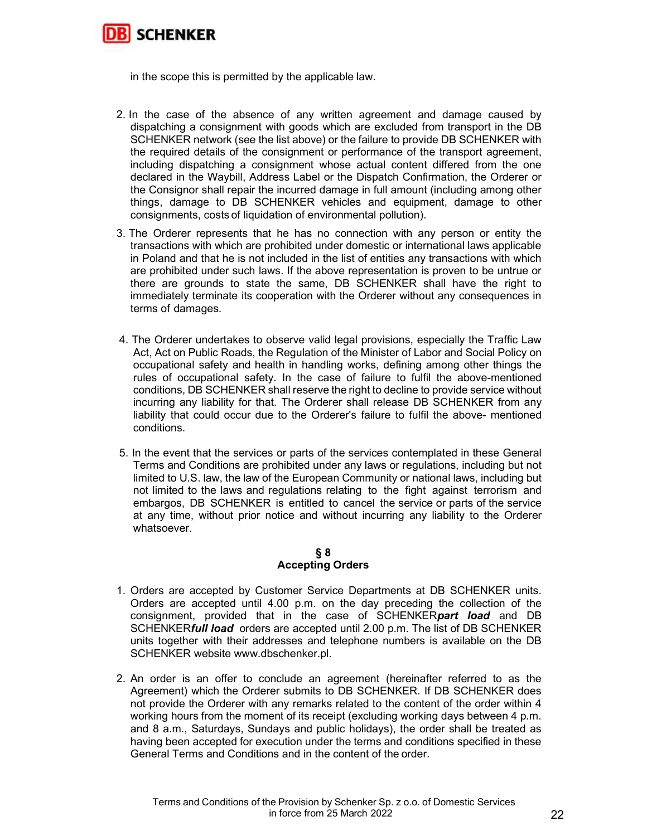

in the scope this is permitted by the applicable law.

- 2. In the case of the absence of any written agreement and damage caused by dispatching a consignment with goods which are excluded from transport in the DB SCHENKER network (see the list above) or the failure to provide DB SCHENKER with the required details of the consignment or performance of the transport agreement, including dispatching a consignment whose actual content differed from the one declared in the Waybill, Address Label or the Dispatch Confirmation, the Orderer or the Consignor shall repair the incurred damage in full amount (including among other things, damage to DB SCHENKER vehicles and equipment, damage to other consignments, costs of liquidation of environmental pollution).
- 3. The Orderer represents that he has no connection with any person or entity the transactions with which are prohibited under domestic or international laws applicable in Poland and that he is not included in the list of entities any transactions with which are prohibited under such laws. If the above representation is proven to be untrue or there are grounds to state the same, DB SCHENKER shall have the right to immediately terminate its cooperation with the Orderer without any consequences in terms of damages.
- 4. The Orderer undertakes to observe valid legal provisions, especially the Traffic Law Act, Act on Public Roads, the Regulation of the Minister of Labor and Social Policy on occupational safety and health in handling works, defining among other things the rules of occupational safety. In the case of failure to fulfil the above-mentioned conditions, DB SCHENKER shall reserve the right to decline to provide service without incurring any liability for that. The Orderer shall release DB SCHENKER from any liability that could occur due to the Orderer's failure to fulfil the above- mentioned conditions.
- 5. In the event that the services or parts of the services contemplated in these General Terms and Conditions are prohibited under any laws or regulations, including but not limited to U.S. law, the law of the European Community or national laws, including but not limited to the laws and regulations relating to the fight against terrorism and embargos, DB SCHENKER is entitled to cancel the service or parts of the service at any time, without prior notice and without incurring any liability to the Orderer whatsoever.

## § 8 Accepting Orders

- 1. Orders are accepted by Customer Service Departments at DB SCHENKER units. Orders are accepted until 4.00 p.m. on the day preceding the collection of the consignment, provided that in the case of SCHENKERpart load and DB SCHENKERfull load orders are accepted until 2.00 p.m. The list of DB SCHENKER units together with their addresses and telephone numbers is available on the DB SCHENKER website www.dbschenker.pl.
- 2. An order is an offer to conclude an agreement (hereinafter referred to as the Agreement) which the Orderer submits to DB SCHENKER. If DB SCHENKER does not provide the Orderer with any remarks related to the content of the order within 4 working hours from the moment of its receipt (excluding working days between 4 p.m. and 8 a.m., Saturdays, Sundays and public holidays), the order shall be treated as having been accepted for execution under the terms and conditions specified in these General Terms and Conditions and in the content of the order.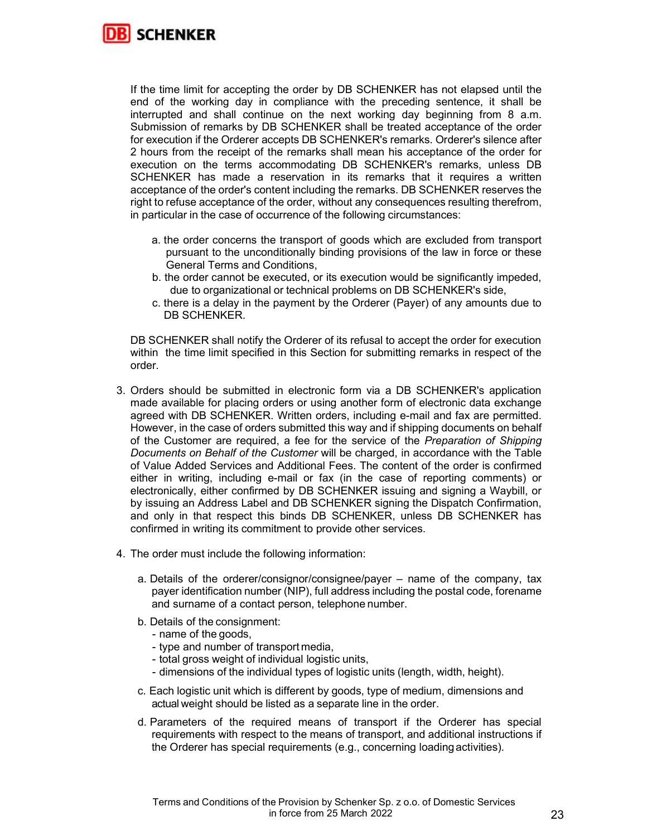

If the time limit for accepting the order by DB SCHENKER has not elapsed until the end of the working day in compliance with the preceding sentence, it shall be interrupted and shall continue on the next working day beginning from 8 a.m. Submission of remarks by DB SCHENKER shall be treated acceptance of the order for execution if the Orderer accepts DB SCHENKER's remarks. Orderer's silence after 2 hours from the receipt of the remarks shall mean his acceptance of the order for execution on the terms accommodating DB SCHENKER's remarks, unless DB SCHENKER has made a reservation in its remarks that it requires a written acceptance of the order's content including the remarks. DB SCHENKER reserves the right to refuse acceptance of the order, without any consequences resulting therefrom, in particular in the case of occurrence of the following circumstances:

- a. the order concerns the transport of goods which are excluded from transport pursuant to the unconditionally binding provisions of the law in force or these General Terms and Conditions,
- b. the order cannot be executed, or its execution would be significantly impeded, due to organizational or technical problems on DB SCHENKER's side,
- c. there is a delay in the payment by the Orderer (Payer) of any amounts due to DB SCHENKER.

DB SCHENKER shall notify the Orderer of its refusal to accept the order for execution within the time limit specified in this Section for submitting remarks in respect of the order.

- 3. Orders should be submitted in electronic form via a DB SCHENKER's application made available for placing orders or using another form of electronic data exchange agreed with DB SCHENKER. Written orders, including e-mail and fax are permitted. However, in the case of orders submitted this way and if shipping documents on behalf of the Customer are required, a fee for the service of the Preparation of Shipping Documents on Behalf of the Customer will be charged, in accordance with the Table of Value Added Services and Additional Fees. The content of the order is confirmed either in writing, including e-mail or fax (in the case of reporting comments) or electronically, either confirmed by DB SCHENKER issuing and signing a Waybill, or by issuing an Address Label and DB SCHENKER signing the Dispatch Confirmation, and only in that respect this binds DB SCHENKER, unless DB SCHENKER has confirmed in writing its commitment to provide other services.
- 4. The order must include the following information:
	- a. Details of the orderer/consignor/consignee/payer name of the company, tax payer identification number (NIP), full address including the postal code, forename and surname of a contact person, telephone number.
	- b. Details of the consignment:
		- name of the goods,
		- type and number of transport media,
		- total gross weight of individual logistic units,
		- dimensions of the individual types of logistic units (length, width, height).
	- c. Each logistic unit which is different by goods, type of medium, dimensions and actual weight should be listed as a separate line in the order.
	- d. Parameters of the required means of transport if the Orderer has special requirements with respect to the means of transport, and additional instructions if the Orderer has special requirements (e.g., concerning loading activities).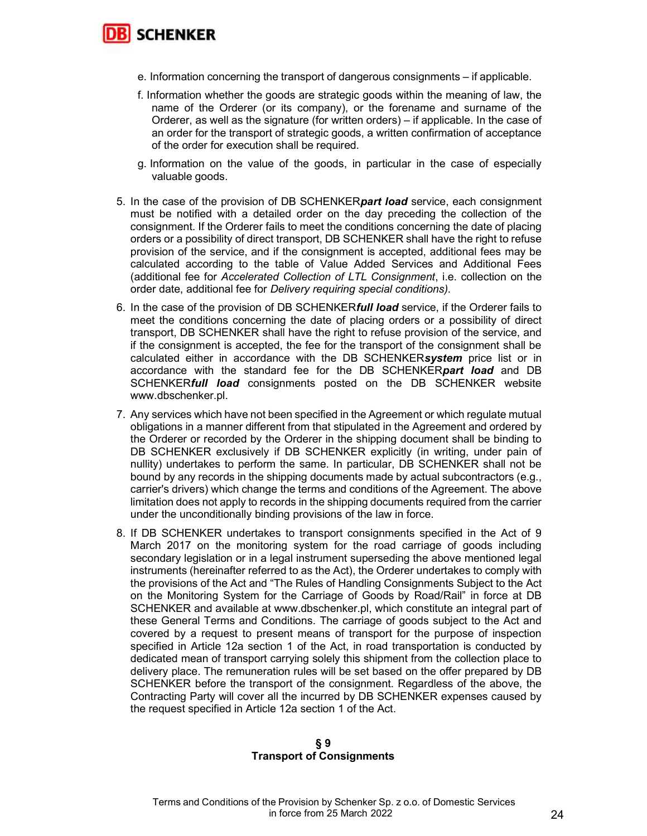

- e. Information concerning the transport of dangerous consignments if applicable.
- f. Information whether the goods are strategic goods within the meaning of law, the name of the Orderer (or its company), or the forename and surname of the Orderer, as well as the signature (for written orders) – if applicable. In the case of an order for the transport of strategic goods, a written confirmation of acceptance of the order for execution shall be required.
- g. Information on the value of the goods, in particular in the case of especially valuable goods.
- 5. In the case of the provision of DB SCHENKERpart load service, each consignment must be notified with a detailed order on the day preceding the collection of the consignment. If the Orderer fails to meet the conditions concerning the date of placing orders or a possibility of direct transport, DB SCHENKER shall have the right to refuse provision of the service, and if the consignment is accepted, additional fees may be calculated according to the table of Value Added Services and Additional Fees (additional fee for Accelerated Collection of LTL Consignment, i.e. collection on the order date, additional fee for Delivery requiring special conditions).
- 6. In the case of the provision of DB SCHENKER*full load* service, if the Orderer fails to meet the conditions concerning the date of placing orders or a possibility of direct transport, DB SCHENKER shall have the right to refuse provision of the service, and if the consignment is accepted, the fee for the transport of the consignment shall be calculated either in accordance with the DB SCHENKERsystem price list or in accordance with the standard fee for the DB SCHENKERpart load and DB SCHENKERfull load consignments posted on the DB SCHENKER website www.dbschenker.pl.
- 7. Any services which have not been specified in the Agreement or which regulate mutual obligations in a manner different from that stipulated in the Agreement and ordered by the Orderer or recorded by the Orderer in the shipping document shall be binding to DB SCHENKER exclusively if DB SCHENKER explicitly (in writing, under pain of nullity) undertakes to perform the same. In particular, DB SCHENKER shall not be bound by any records in the shipping documents made by actual subcontractors (e.g., carrier's drivers) which change the terms and conditions of the Agreement. The above limitation does not apply to records in the shipping documents required from the carrier under the unconditionally binding provisions of the law in force.
- 8. If DB SCHENKER undertakes to transport consignments specified in the Act of 9 March 2017 on the monitoring system for the road carriage of goods including secondary legislation or in a legal instrument superseding the above mentioned legal instruments (hereinafter referred to as the Act), the Orderer undertakes to comply with the provisions of the Act and "The Rules of Handling Consignments Subject to the Act on the Monitoring System for the Carriage of Goods by Road/Rail" in force at DB SCHENKER and available at www.dbschenker.pl, which constitute an integral part of these General Terms and Conditions. The carriage of goods subject to the Act and covered by a request to present means of transport for the purpose of inspection specified in Article 12a section 1 of the Act, in road transportation is conducted by dedicated mean of transport carrying solely this shipment from the collection place to delivery place. The remuneration rules will be set based on the offer prepared by DB SCHENKER before the transport of the consignment. Regardless of the above, the Contracting Party will cover all the incurred by DB SCHENKER expenses caused by the request specified in Article 12a section 1 of the Act.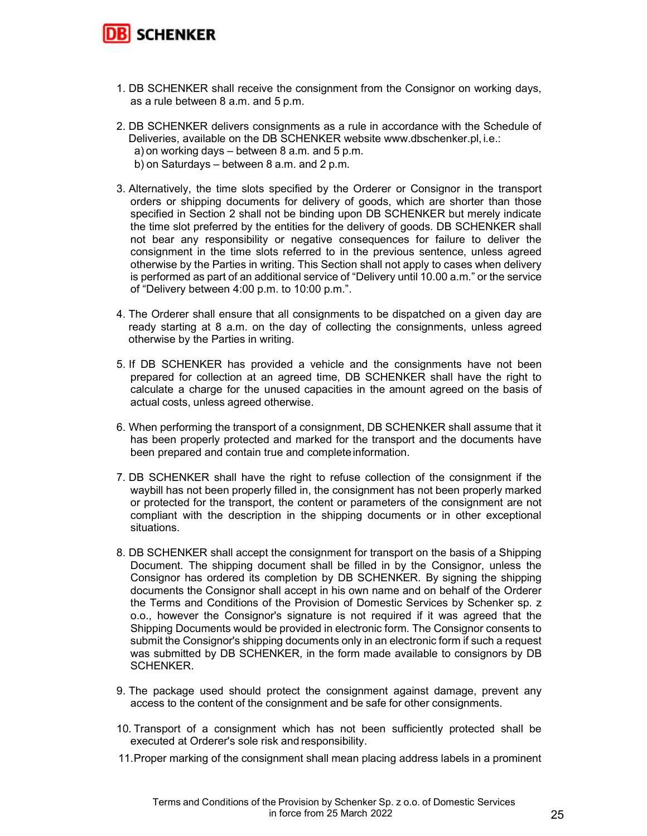

- 1. DB SCHENKER shall receive the consignment from the Consignor on working days, as a rule between 8 a.m. and 5 p.m.
- 2. DB SCHENKER delivers consignments as a rule in accordance with the Schedule of Deliveries, available on the DB SCHENKER website www.dbschenker.pl, i.e.: a) on working days – between 8 a.m. and 5 p.m. b) on Saturdays – between 8 a.m. and 2 p.m.
- 3. Alternatively, the time slots specified by the Orderer or Consignor in the transport orders or shipping documents for delivery of goods, which are shorter than those specified in Section 2 shall not be binding upon DB SCHENKER but merely indicate the time slot preferred by the entities for the delivery of goods. DB SCHENKER shall not bear any responsibility or negative consequences for failure to deliver the consignment in the time slots referred to in the previous sentence, unless agreed otherwise by the Parties in writing. This Section shall not apply to cases when delivery is performed as part of an additional service of "Delivery until 10.00 a.m." or the service of "Delivery between 4:00 p.m. to 10:00 p.m.".
- 4. The Orderer shall ensure that all consignments to be dispatched on a given day are ready starting at 8 a.m. on the day of collecting the consignments, unless agreed otherwise by the Parties in writing.
- 5. If DB SCHENKER has provided a vehicle and the consignments have not been prepared for collection at an agreed time, DB SCHENKER shall have the right to calculate a charge for the unused capacities in the amount agreed on the basis of actual costs, unless agreed otherwise.
- 6. When performing the transport of a consignment, DB SCHENKER shall assume that it has been properly protected and marked for the transport and the documents have been prepared and contain true and complete information.
- 7. DB SCHENKER shall have the right to refuse collection of the consignment if the waybill has not been properly filled in, the consignment has not been properly marked or protected for the transport, the content or parameters of the consignment are not compliant with the description in the shipping documents or in other exceptional situations.
- 8. DB SCHENKER shall accept the consignment for transport on the basis of a Shipping Document. The shipping document shall be filled in by the Consignor, unless the Consignor has ordered its completion by DB SCHENKER. By signing the shipping documents the Consignor shall accept in his own name and on behalf of the Orderer the Terms and Conditions of the Provision of Domestic Services by Schenker sp. z o.o., however the Consignor's signature is not required if it was agreed that the Shipping Documents would be provided in electronic form. The Consignor consents to submit the Consignor's shipping documents only in an electronic form if such a request was submitted by DB SCHENKER, in the form made available to consignors by DB SCHENKER.
- 9. The package used should protect the consignment against damage, prevent any access to the content of the consignment and be safe for other consignments.
- 10. Transport of a consignment which has not been sufficiently protected shall be executed at Orderer's sole risk and responsibility.
- 11. Proper marking of the consignment shall mean placing address labels in a prominent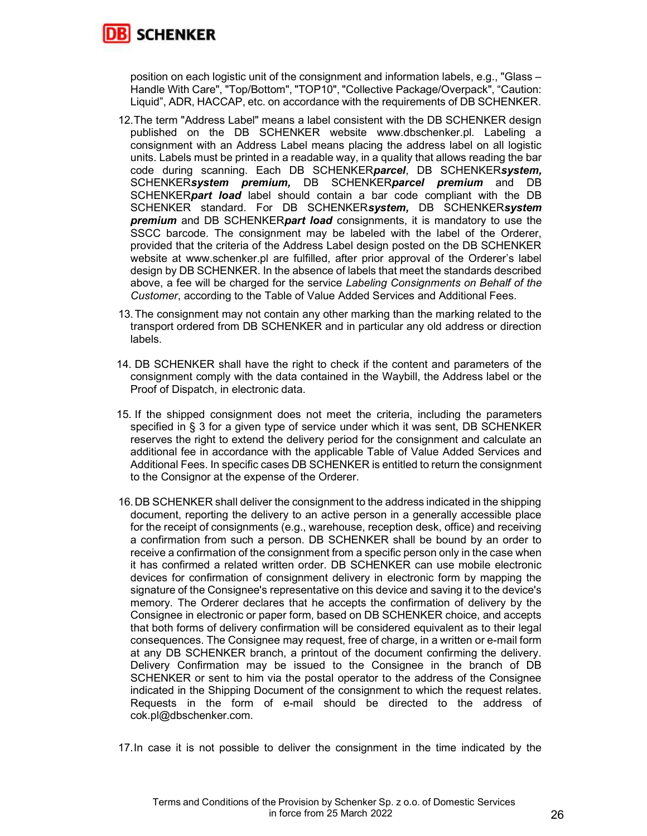

position on each logistic unit of the consignment and information labels, e.g., "Glass – Handle With Care", "Top/Bottom", "TOP10", "Collective Package/Overpack", "Caution: Liquid", ADR, HACCAP, etc. on accordance with the requirements of DB SCHENKER.

- 12. The term "Address Label" means a label consistent with the DB SCHENKER design published on the DB SCHENKER website www.dbschenker.pl. Labeling a consignment with an Address Label means placing the address label on all logistic units. Labels must be printed in a readable way, in a quality that allows reading the bar code during scanning. Each DB SCHENKERparcel, DB SCHENKERsystem, SCHENKERsystem premium, DB SCHENKERparcel premium and DB SCHENKER*part load* label should contain a bar code compliant with the DB SCHENKER standard. For DB SCHENKERsystem, DB SCHENKERsystem **premium** and DB SCHENKER**part load** consignments, it is mandatory to use the SSCC barcode. The consignment may be labeled with the label of the Orderer, provided that the criteria of the Address Label design posted on the DB SCHENKER website at www.schenker.pl are fulfilled, after prior approval of the Orderer's label design by DB SCHENKER. In the absence of labels that meet the standards described above, a fee will be charged for the service Labeling Consignments on Behalf of the Customer, according to the Table of Value Added Services and Additional Fees.
- 13. The consignment may not contain any other marking than the marking related to the transport ordered from DB SCHENKER and in particular any old address or direction labels.
- 14. DB SCHENKER shall have the right to check if the content and parameters of the consignment comply with the data contained in the Waybill, the Address label or the Proof of Dispatch, in electronic data.
- 15. If the shipped consignment does not meet the criteria, including the parameters specified in § 3 for a given type of service under which it was sent, DB SCHENKER reserves the right to extend the delivery period for the consignment and calculate an additional fee in accordance with the applicable Table of Value Added Services and Additional Fees. In specific cases DB SCHENKER is entitled to return the consignment to the Consignor at the expense of the Orderer.
- 16. DB SCHENKER shall deliver the consignment to the address indicated in the shipping document, reporting the delivery to an active person in a generally accessible place for the receipt of consignments (e.g., warehouse, reception desk, office) and receiving a confirmation from such a person. DB SCHENKER shall be bound by an order to receive a confirmation of the consignment from a specific person only in the case when it has confirmed a related written order. DB SCHENKER can use mobile electronic devices for confirmation of consignment delivery in electronic form by mapping the signature of the Consignee's representative on this device and saving it to the device's memory. The Orderer declares that he accepts the confirmation of delivery by the Consignee in electronic or paper form, based on DB SCHENKER choice, and accepts that both forms of delivery confirmation will be considered equivalent as to their legal consequences. The Consignee may request, free of charge, in a written or e-mail form at any DB SCHENKER branch, a printout of the document confirming the delivery. Delivery Confirmation may be issued to the Consignee in the branch of DB SCHENKER or sent to him via the postal operator to the address of the Consignee indicated in the Shipping Document of the consignment to which the request relates. Requests in the form of e-mail should be directed to the address of cok.pl@dbschenker.com.

17. In case it is not possible to deliver the consignment in the time indicated by the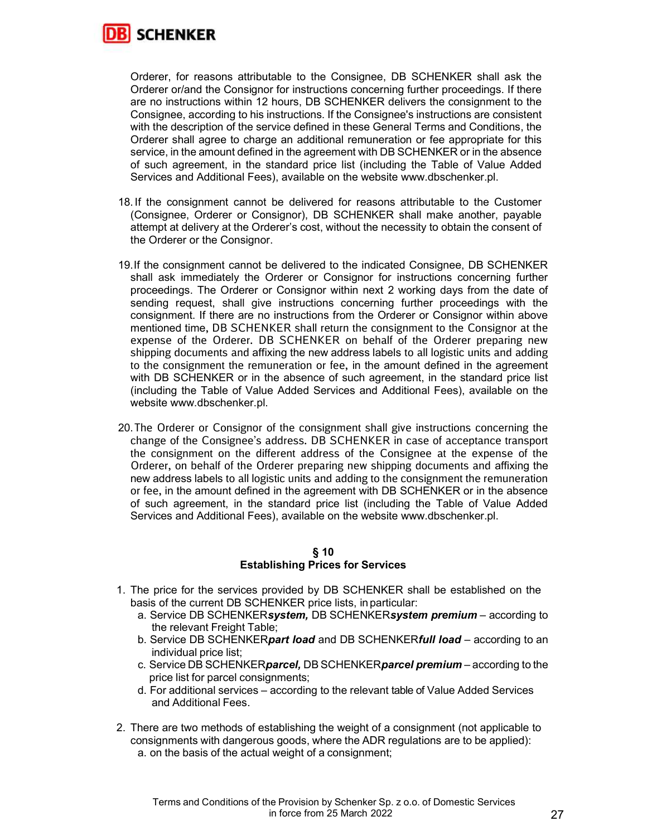

Orderer, for reasons attributable to the Consignee, DB SCHENKER shall ask the Orderer or/and the Consignor for instructions concerning further proceedings. If there are no instructions within 12 hours, DB SCHENKER delivers the consignment to the Consignee, according to his instructions. If the Consignee's instructions are consistent with the description of the service defined in these General Terms and Conditions, the Orderer shall agree to charge an additional remuneration or fee appropriate for this service, in the amount defined in the agreement with DB SCHENKER or in the absence of such agreement, in the standard price list (including the Table of Value Added Services and Additional Fees), available on the website www.dbschenker.pl.

- 18. If the consignment cannot be delivered for reasons attributable to the Customer (Consignee, Orderer or Consignor), DB SCHENKER shall make another, payable attempt at delivery at the Orderer's cost, without the necessity to obtain the consent of the Orderer or the Consignor.
- 19. If the consignment cannot be delivered to the indicated Consignee, DB SCHENKER shall ask immediately the Orderer or Consignor for instructions concerning further proceedings. The Orderer or Consignor within next 2 working days from the date of sending request, shall give instructions concerning further proceedings with the consignment. If there are no instructions from the Orderer or Consignor within above mentioned time, DB SCHENKER shall return the consignment to the Consignor at the expense of the Orderer. DB SCHENKER on behalf of the Orderer preparing new shipping documents and affixing the new address labels to all logistic units and adding to the consignment the remuneration or fee, in the amount defined in the agreement with DB SCHENKER or in the absence of such agreement, in the standard price list (including the Table of Value Added Services and Additional Fees), available on the website www.dbschenker.pl.
- 20. The Orderer or Consignor of the consignment shall give instructions concerning the change of the Consignee's address. DB SCHENKER in case of acceptance transport the consignment on the different address of the Consignee at the expense of the Orderer, on behalf of the Orderer preparing new shipping documents and affixing the new address labels to all logistic units and adding to the consignment the remuneration or fee, in the amount defined in the agreement with DB SCHENKER or in the absence of such agreement, in the standard price list (including the Table of Value Added Services and Additional Fees), available on the website www.dbschenker.pl.

## § 10 Establishing Prices for Services

- 1. The price for the services provided by DB SCHENKER shall be established on the basis of the current DB SCHENKER price lists, in particular:
	- a. Service DB SCHENKERsystem, DB SCHENKERsystem premium according to the relevant Freight Table;
	- b. Service DB SCHENKERpart load and DB SCHENKERfull load according to an individual price list;
	- c. Service DB SCHENKERparcel, DB SCHENKERparcel premium according to the price list for parcel consignments;
	- d. For additional services according to the relevant table of Value Added Services and Additional Fees.
- 2. There are two methods of establishing the weight of a consignment (not applicable to consignments with dangerous goods, where the ADR regulations are to be applied): a. on the basis of the actual weight of a consignment;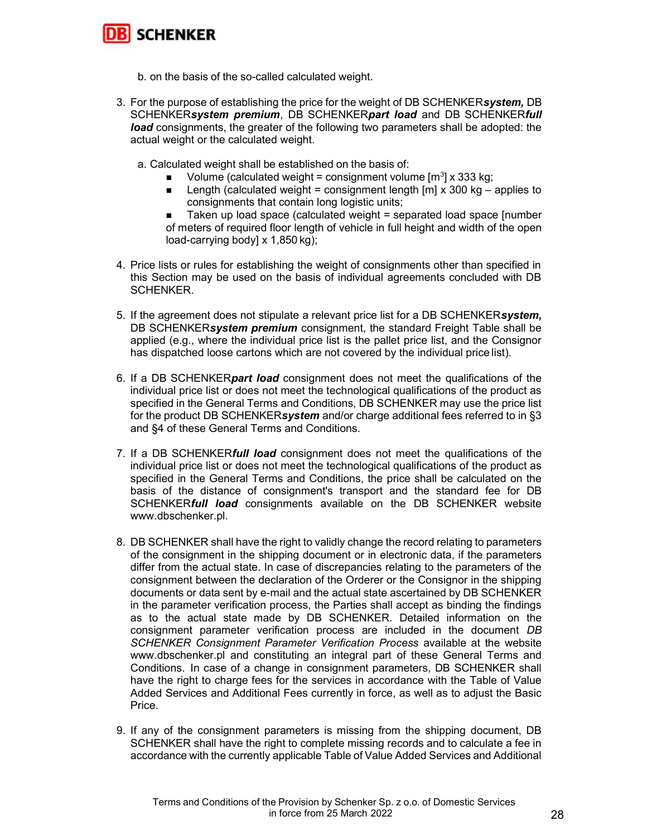

- b. on the basis of the so-called calculated weight.
- 3. For the purpose of establishing the price for the weight of DB SCHENKERsystem, DB SCHENKERsystem premium, DB SCHENKERpart load and DB SCHENKERfull **load** consignments, the greater of the following two parameters shall be adopted: the actual weight or the calculated weight.
	- a. Calculated weight shall be established on the basis of:
		- Volume (calculated weight = consignment volume  $[m^3]$  x 333 kg;
		- **Length (calculated weight = consignment length [m] x 300 kg applies to** consignments that contain long logistic units;
		- Taken up load space (calculated weight = separated load space [number of meters of required floor length of vehicle in full height and width of the open load-carrying body] x 1,850 kg);
- 4. Price lists or rules for establishing the weight of consignments other than specified in this Section may be used on the basis of individual agreements concluded with DB SCHENKER.
- 5. If the agreement does not stipulate a relevant price list for a DB SCHENKERsystem, DB SCHENKERsystem premium consignment, the standard Freight Table shall be applied (e.g., where the individual price list is the pallet price list, and the Consignor has dispatched loose cartons which are not covered by the individual price list).
- 6. If a DB SCHENKER*part load* consignment does not meet the qualifications of the individual price list or does not meet the technological qualifications of the product as specified in the General Terms and Conditions, DB SCHENKER may use the price list for the product DB SCHENKERsystem and/or charge additional fees referred to in §3 and §4 of these General Terms and Conditions.
- 7. If a DB SCHENKER**full load** consignment does not meet the qualifications of the individual price list or does not meet the technological qualifications of the product as specified in the General Terms and Conditions, the price shall be calculated on the basis of the distance of consignment's transport and the standard fee for DB SCHENKERfull load consignments available on the DB SCHENKER website www.dbschenker.pl.
- 8. DB SCHENKER shall have the right to validly change the record relating to parameters of the consignment in the shipping document or in electronic data, if the parameters differ from the actual state. In case of discrepancies relating to the parameters of the consignment between the declaration of the Orderer or the Consignor in the shipping documents or data sent by e-mail and the actual state ascertained by DB SCHENKER in the parameter verification process, the Parties shall accept as binding the findings as to the actual state made by DB SCHENKER. Detailed information on the consignment parameter verification process are included in the document DB SCHENKER Consignment Parameter Verification Process available at the website www.dbschenker.pl and constituting an integral part of these General Terms and Conditions. In case of a change in consignment parameters, DB SCHENKER shall have the right to charge fees for the services in accordance with the Table of Value Added Services and Additional Fees currently in force, as well as to adjust the Basic Price.
- 9. If any of the consignment parameters is missing from the shipping document, DB SCHENKER shall have the right to complete missing records and to calculate a fee in accordance with the currently applicable Table of Value Added Services and Additional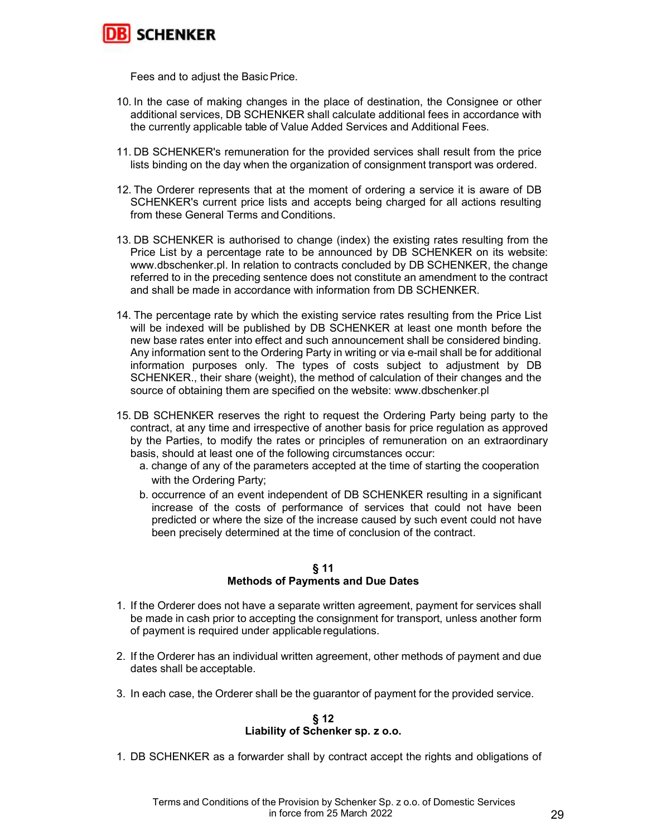

Fees and to adjust the Basic Price.

- 10. In the case of making changes in the place of destination, the Consignee or other additional services, DB SCHENKER shall calculate additional fees in accordance with the currently applicable table of Value Added Services and Additional Fees.
- 11. DB SCHENKER's remuneration for the provided services shall result from the price lists binding on the day when the organization of consignment transport was ordered.
- 12. The Orderer represents that at the moment of ordering a service it is aware of DB SCHENKER's current price lists and accepts being charged for all actions resulting from these General Terms and Conditions.
- 13. DB SCHENKER is authorised to change (index) the existing rates resulting from the Price List by a percentage rate to be announced by DB SCHENKER on its website: www.dbschenker.pl. In relation to contracts concluded by DB SCHENKER, the change referred to in the preceding sentence does not constitute an amendment to the contract and shall be made in accordance with information from DB SCHENKER.
- 14. The percentage rate by which the existing service rates resulting from the Price List will be indexed will be published by DB SCHENKER at least one month before the new base rates enter into effect and such announcement shall be considered binding. Any information sent to the Ordering Party in writing or via e-mail shall be for additional information purposes only. The types of costs subject to adjustment by DB SCHENKER., their share (weight), the method of calculation of their changes and the source of obtaining them are specified on the website: www.dbschenker.pl
- 15. DB SCHENKER reserves the right to request the Ordering Party being party to the contract, at any time and irrespective of another basis for price regulation as approved by the Parties, to modify the rates or principles of remuneration on an extraordinary basis, should at least one of the following circumstances occur:
	- a. change of any of the parameters accepted at the time of starting the cooperation with the Ordering Party;
	- b. occurrence of an event independent of DB SCHENKER resulting in a significant increase of the costs of performance of services that could not have been predicted or where the size of the increase caused by such event could not have been precisely determined at the time of conclusion of the contract.

#### § 11 Methods of Payments and Due Dates

- 1. If the Orderer does not have a separate written agreement, payment for services shall be made in cash prior to accepting the consignment for transport, unless another form of payment is required under applicable regulations.
- 2. If the Orderer has an individual written agreement, other methods of payment and due dates shall be acceptable.
- 3. In each case, the Orderer shall be the guarantor of payment for the provided service.

#### § 12 Liability of Schenker sp. z o.o.

1. DB SCHENKER as a forwarder shall by contract accept the rights and obligations of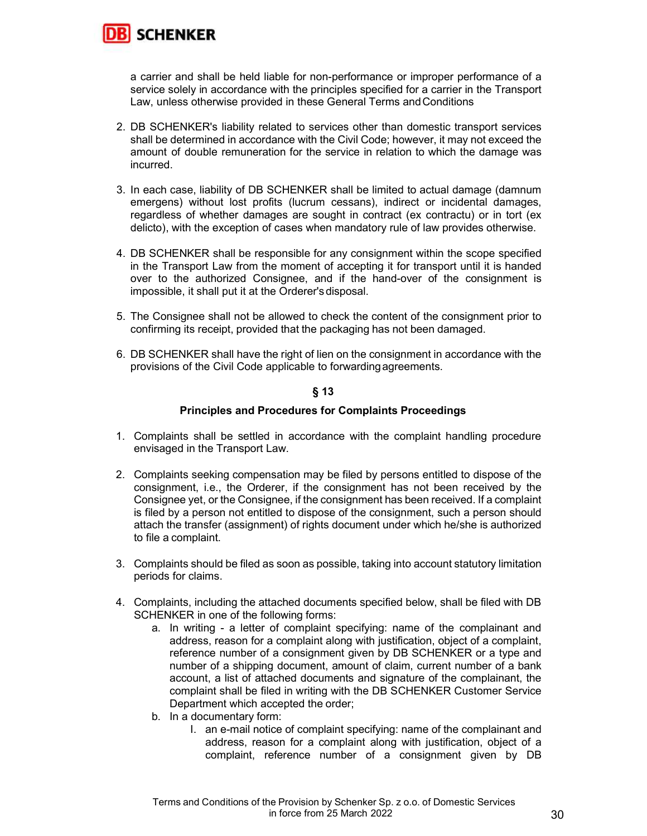

a carrier and shall be held liable for non-performance or improper performance of a service solely in accordance with the principles specified for a carrier in the Transport Law, unless otherwise provided in these General Terms and Conditions

- 2. DB SCHENKER's liability related to services other than domestic transport services shall be determined in accordance with the Civil Code; however, it may not exceed the amount of double remuneration for the service in relation to which the damage was incurred.
- 3. In each case, liability of DB SCHENKER shall be limited to actual damage (damnum emergens) without lost profits (lucrum cessans), indirect or incidental damages, regardless of whether damages are sought in contract (ex contractu) or in tort (ex delicto), with the exception of cases when mandatory rule of law provides otherwise.
- 4. DB SCHENKER shall be responsible for any consignment within the scope specified in the Transport Law from the moment of accepting it for transport until it is handed over to the authorized Consignee, and if the hand-over of the consignment is impossible, it shall put it at the Orderer's disposal.
- 5. The Consignee shall not be allowed to check the content of the consignment prior to confirming its receipt, provided that the packaging has not been damaged.
- 6. DB SCHENKER shall have the right of lien on the consignment in accordance with the provisions of the Civil Code applicable to forwarding agreements.

# § 13

## Principles and Procedures for Complaints Proceedings

- 1. Complaints shall be settled in accordance with the complaint handling procedure envisaged in the Transport Law.
- 2. Complaints seeking compensation may be filed by persons entitled to dispose of the consignment, i.e., the Orderer, if the consignment has not been received by the Consignee yet, or the Consignee, if the consignment has been received. If a complaint is filed by a person not entitled to dispose of the consignment, such a person should attach the transfer (assignment) of rights document under which he/she is authorized to file a complaint.
- 3. Complaints should be filed as soon as possible, taking into account statutory limitation periods for claims.
- 4. Complaints, including the attached documents specified below, shall be filed with DB SCHENKER in one of the following forms:
	- a. In writing a letter of complaint specifying: name of the complainant and address, reason for a complaint along with justification, object of a complaint, reference number of a consignment given by DB SCHENKER or a type and number of a shipping document, amount of claim, current number of a bank account, a list of attached documents and signature of the complainant, the complaint shall be filed in writing with the DB SCHENKER Customer Service Department which accepted the order;
	- b. In a documentary form:
		- I. an e-mail notice of complaint specifying: name of the complainant and address, reason for a complaint along with justification, object of a complaint, reference number of a consignment given by DB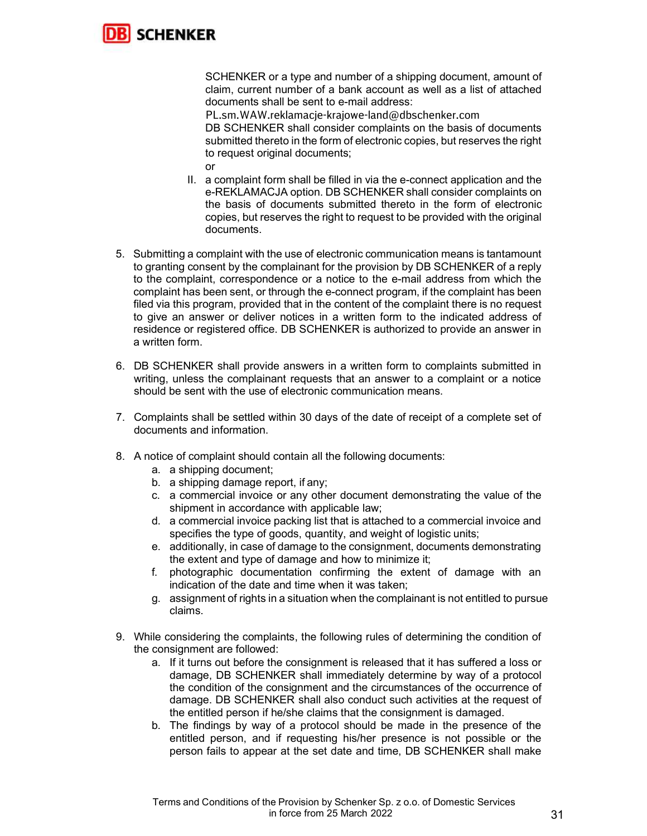

SCHENKER or a type and number of a shipping document, amount of claim, current number of a bank account as well as a list of attached documents shall be sent to e-mail address:

PL.sm.WAW.reklamacje-krajowe-land@dbschenker.com DB SCHENKER shall consider complaints on the basis of documents submitted thereto in the form of electronic copies, but reserves the right to request original documents;

- or
- II. a complaint form shall be filled in via the e-connect application and the e-REKLAMACJA option. DB SCHENKER shall consider complaints on the basis of documents submitted thereto in the form of electronic copies, but reserves the right to request to be provided with the original documents.
- 5. Submitting a complaint with the use of electronic communication means is tantamount to granting consent by the complainant for the provision by DB SCHENKER of a reply to the complaint, correspondence or a notice to the e-mail address from which the complaint has been sent, or through the e-connect program, if the complaint has been filed via this program, provided that in the content of the complaint there is no request to give an answer or deliver notices in a written form to the indicated address of residence or registered office. DB SCHENKER is authorized to provide an answer in a written form.
- 6. DB SCHENKER shall provide answers in a written form to complaints submitted in writing, unless the complainant requests that an answer to a complaint or a notice should be sent with the use of electronic communication means.
- 7. Complaints shall be settled within 30 days of the date of receipt of a complete set of documents and information.
- 8. A notice of complaint should contain all the following documents:
	- a. a shipping document;
	- b. a shipping damage report, if any;
	- c. a commercial invoice or any other document demonstrating the value of the shipment in accordance with applicable law;
	- d. a commercial invoice packing list that is attached to a commercial invoice and specifies the type of goods, quantity, and weight of logistic units;
	- e. additionally, in case of damage to the consignment, documents demonstrating the extent and type of damage and how to minimize it;
	- f. photographic documentation confirming the extent of damage with an indication of the date and time when it was taken;
	- g. assignment of rights in a situation when the complainant is not entitled to pursue claims.
- 9. While considering the complaints, the following rules of determining the condition of the consignment are followed:
	- a. If it turns out before the consignment is released that it has suffered a loss or damage, DB SCHENKER shall immediately determine by way of a protocol the condition of the consignment and the circumstances of the occurrence of damage. DB SCHENKER shall also conduct such activities at the request of the entitled person if he/she claims that the consignment is damaged.
	- b. The findings by way of a protocol should be made in the presence of the entitled person, and if requesting his/her presence is not possible or the person fails to appear at the set date and time, DB SCHENKER shall make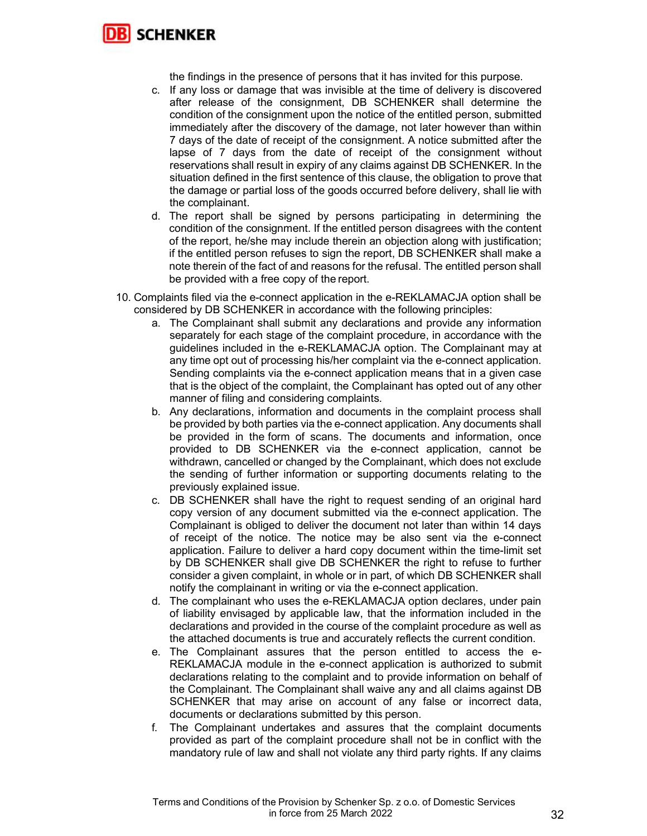

the findings in the presence of persons that it has invited for this purpose.

- c. If any loss or damage that was invisible at the time of delivery is discovered after release of the consignment, DB SCHENKER shall determine the condition of the consignment upon the notice of the entitled person, submitted immediately after the discovery of the damage, not later however than within 7 days of the date of receipt of the consignment. A notice submitted after the lapse of 7 days from the date of receipt of the consignment without reservations shall result in expiry of any claims against DB SCHENKER. In the situation defined in the first sentence of this clause, the obligation to prove that the damage or partial loss of the goods occurred before delivery, shall lie with the complainant.
- d. The report shall be signed by persons participating in determining the condition of the consignment. If the entitled person disagrees with the content of the report, he/she may include therein an objection along with justification; if the entitled person refuses to sign the report, DB SCHENKER shall make a note therein of the fact of and reasons for the refusal. The entitled person shall be provided with a free copy of the report.
- 10. Complaints filed via the e-connect application in the e-REKLAMACJA option shall be considered by DB SCHENKER in accordance with the following principles:
	- a. The Complainant shall submit any declarations and provide any information separately for each stage of the complaint procedure, in accordance with the guidelines included in the e-REKLAMACJA option. The Complainant may at any time opt out of processing his/her complaint via the e-connect application. Sending complaints via the e-connect application means that in a given case that is the object of the complaint, the Complainant has opted out of any other manner of filing and considering complaints.
	- b. Any declarations, information and documents in the complaint process shall be provided by both parties via the e-connect application. Any documents shall be provided in the form of scans. The documents and information, once provided to DB SCHENKER via the e-connect application, cannot be withdrawn, cancelled or changed by the Complainant, which does not exclude the sending of further information or supporting documents relating to the previously explained issue.
	- c. DB SCHENKER shall have the right to request sending of an original hard copy version of any document submitted via the e-connect application. The Complainant is obliged to deliver the document not later than within 14 days of receipt of the notice. The notice may be also sent via the e-connect application. Failure to deliver a hard copy document within the time-limit set by DB SCHENKER shall give DB SCHENKER the right to refuse to further consider a given complaint, in whole or in part, of which DB SCHENKER shall notify the complainant in writing or via the e-connect application.
	- d. The complainant who uses the e-REKLAMACJA option declares, under pain of liability envisaged by applicable law, that the information included in the declarations and provided in the course of the complaint procedure as well as the attached documents is true and accurately reflects the current condition.
	- e. The Complainant assures that the person entitled to access the e-REKLAMACJA module in the e-connect application is authorized to submit declarations relating to the complaint and to provide information on behalf of the Complainant. The Complainant shall waive any and all claims against DB SCHENKER that may arise on account of any false or incorrect data, documents or declarations submitted by this person.
	- f. The Complainant undertakes and assures that the complaint documents provided as part of the complaint procedure shall not be in conflict with the mandatory rule of law and shall not violate any third party rights. If any claims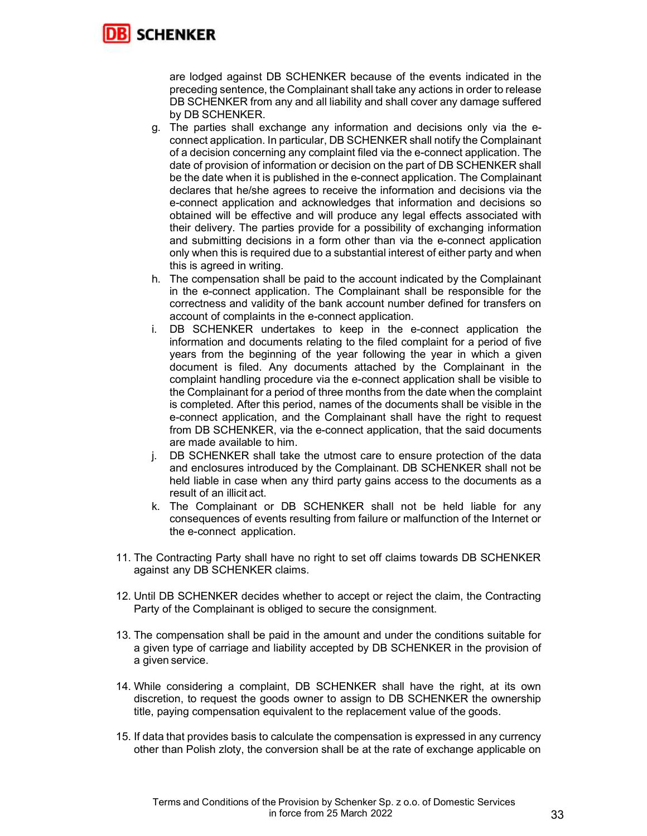

are lodged against DB SCHENKER because of the events indicated in the preceding sentence, the Complainant shall take any actions in order to release DB SCHENKER from any and all liability and shall cover any damage suffered by DB SCHENKER.

- g. The parties shall exchange any information and decisions only via the econnect application. In particular, DB SCHENKER shall notify the Complainant of a decision concerning any complaint filed via the e-connect application. The date of provision of information or decision on the part of DB SCHENKER shall be the date when it is published in the e-connect application. The Complainant declares that he/she agrees to receive the information and decisions via the e-connect application and acknowledges that information and decisions so obtained will be effective and will produce any legal effects associated with their delivery. The parties provide for a possibility of exchanging information and submitting decisions in a form other than via the e-connect application only when this is required due to a substantial interest of either party and when this is agreed in writing.
- h. The compensation shall be paid to the account indicated by the Complainant in the e-connect application. The Complainant shall be responsible for the correctness and validity of the bank account number defined for transfers on account of complaints in the e-connect application.
- i. DB SCHENKER undertakes to keep in the e-connect application the information and documents relating to the filed complaint for a period of five years from the beginning of the year following the year in which a given document is filed. Any documents attached by the Complainant in the complaint handling procedure via the e-connect application shall be visible to the Complainant for a period of three months from the date when the complaint is completed. After this period, names of the documents shall be visible in the e-connect application, and the Complainant shall have the right to request from DB SCHENKER, via the e-connect application, that the said documents are made available to him.
- j. DB SCHENKER shall take the utmost care to ensure protection of the data and enclosures introduced by the Complainant. DB SCHENKER shall not be held liable in case when any third party gains access to the documents as a result of an illicit act.
- k. The Complainant or DB SCHENKER shall not be held liable for any consequences of events resulting from failure or malfunction of the Internet or the e-connect application.
- 11. The Contracting Party shall have no right to set off claims towards DB SCHENKER against any DB SCHENKER claims.
- 12. Until DB SCHENKER decides whether to accept or reject the claim, the Contracting Party of the Complainant is obliged to secure the consignment.
- 13. The compensation shall be paid in the amount and under the conditions suitable for a given type of carriage and liability accepted by DB SCHENKER in the provision of a given service.
- 14. While considering a complaint, DB SCHENKER shall have the right, at its own discretion, to request the goods owner to assign to DB SCHENKER the ownership title, paying compensation equivalent to the replacement value of the goods.
- 15. If data that provides basis to calculate the compensation is expressed in any currency other than Polish zloty, the conversion shall be at the rate of exchange applicable on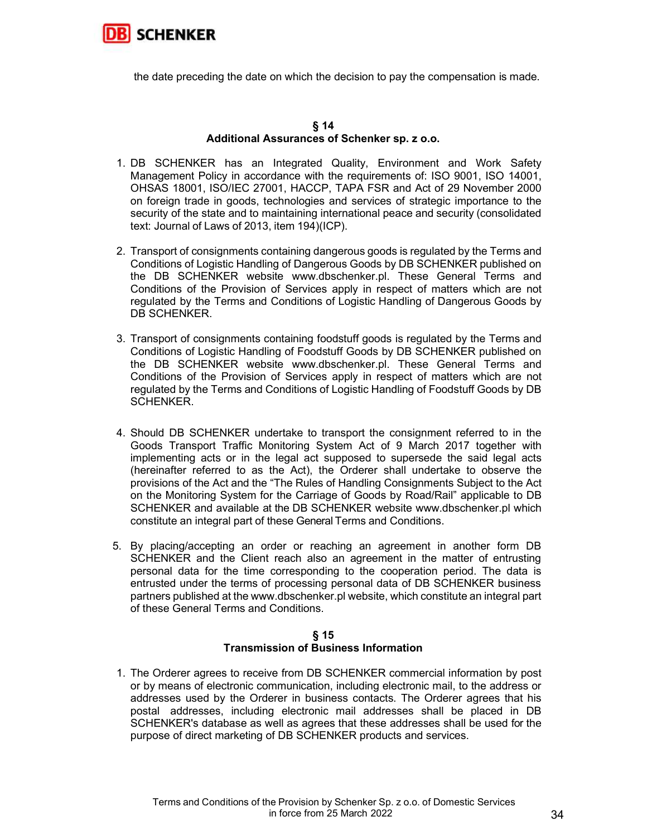

the date preceding the date on which the decision to pay the compensation is made.

#### § 14 Additional Assurances of Schenker sp. z o.o.

- 1. DB SCHENKER has an Integrated Quality, Environment and Work Safety Management Policy in accordance with the requirements of: ISO 9001, ISO 14001, OHSAS 18001, ISO/IEC 27001, HACCP, TAPA FSR and Act of 29 November 2000 on foreign trade in goods, technologies and services of strategic importance to the security of the state and to maintaining international peace and security (consolidated text: Journal of Laws of 2013, item 194)(ICP).
- 2. Transport of consignments containing dangerous goods is regulated by the Terms and Conditions of Logistic Handling of Dangerous Goods by DB SCHENKER published on the DB SCHENKER website www.dbschenker.pl. These General Terms and Conditions of the Provision of Services apply in respect of matters which are not regulated by the Terms and Conditions of Logistic Handling of Dangerous Goods by DB SCHENKER.
- 3. Transport of consignments containing foodstuff goods is regulated by the Terms and Conditions of Logistic Handling of Foodstuff Goods by DB SCHENKER published on the DB SCHENKER website www.dbschenker.pl. These General Terms and Conditions of the Provision of Services apply in respect of matters which are not regulated by the Terms and Conditions of Logistic Handling of Foodstuff Goods by DB SCHENKER.
- 4. Should DB SCHENKER undertake to transport the consignment referred to in the Goods Transport Traffic Monitoring System Act of 9 March 2017 together with implementing acts or in the legal act supposed to supersede the said legal acts (hereinafter referred to as the Act), the Orderer shall undertake to observe the provisions of the Act and the "The Rules of Handling Consignments Subject to the Act on the Monitoring System for the Carriage of Goods by Road/Rail" applicable to DB SCHENKER and available at the DB SCHENKER website www.dbschenker.pl which constitute an integral part of these General Terms and Conditions.
- 5. By placing/accepting an order or reaching an agreement in another form DB SCHENKER and the Client reach also an agreement in the matter of entrusting personal data for the time corresponding to the cooperation period. The data is entrusted under the terms of processing personal data of DB SCHENKER business partners published at the www.dbschenker.pl website, which constitute an integral part of these General Terms and Conditions.

## § 15 Transmission of Business Information

1. The Orderer agrees to receive from DB SCHENKER commercial information by post or by means of electronic communication, including electronic mail, to the address or addresses used by the Orderer in business contacts. The Orderer agrees that his postal addresses, including electronic mail addresses shall be placed in DB SCHENKER's database as well as agrees that these addresses shall be used for the purpose of direct marketing of DB SCHENKER products and services.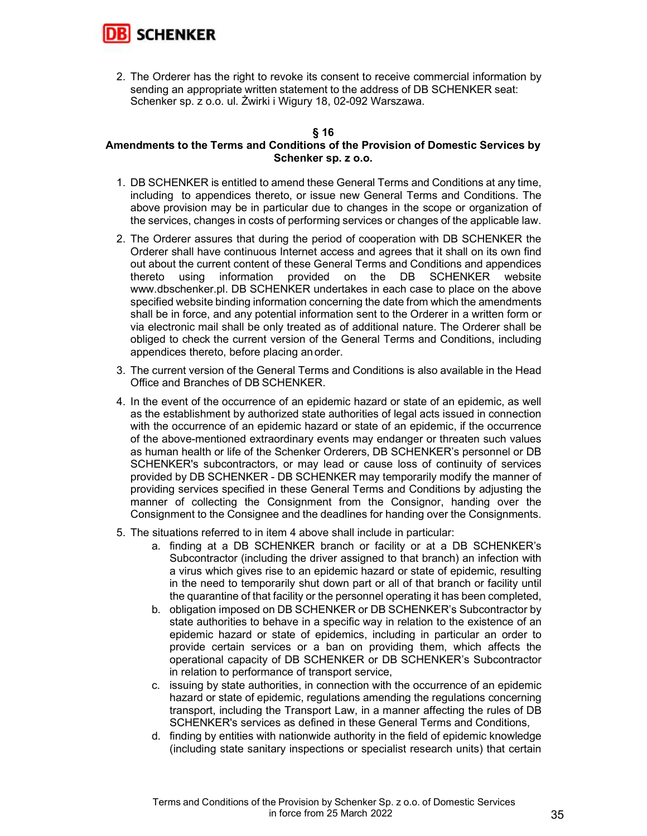

2. The Orderer has the right to revoke its consent to receive commercial information by sending an appropriate written statement to the address of DB SCHENKER seat: Schenker sp. z o.o. ul. Żwirki i Wigury 18, 02-092 Warszawa.

## § 16

## Amendments to the Terms and Conditions of the Provision of Domestic Services by Schenker sp. z o.o.

- 1. DB SCHENKER is entitled to amend these General Terms and Conditions at any time, including to appendices thereto, or issue new General Terms and Conditions. The above provision may be in particular due to changes in the scope or organization of the services, changes in costs of performing services or changes of the applicable law.
- 2. The Orderer assures that during the period of cooperation with DB SCHENKER the Orderer shall have continuous Internet access and agrees that it shall on its own find out about the current content of these General Terms and Conditions and appendices thereto using information provided on the DB SCHENKER website www.dbschenker.pl. DB SCHENKER undertakes in each case to place on the above specified website binding information concerning the date from which the amendments shall be in force, and any potential information sent to the Orderer in a written form or via electronic mail shall be only treated as of additional nature. The Orderer shall be obliged to check the current version of the General Terms and Conditions, including appendices thereto, before placing an order.
- 3. The current version of the General Terms and Conditions is also available in the Head Office and Branches of DB SCHENKER.
- 4. In the event of the occurrence of an epidemic hazard or state of an epidemic, as well as the establishment by authorized state authorities of legal acts issued in connection with the occurrence of an epidemic hazard or state of an epidemic, if the occurrence of the above-mentioned extraordinary events may endanger or threaten such values as human health or life of the Schenker Orderers, DB SCHENKER's personnel or DB SCHENKER's subcontractors, or may lead or cause loss of continuity of services provided by DB SCHENKER - DB SCHENKER may temporarily modify the manner of providing services specified in these General Terms and Conditions by adjusting the manner of collecting the Consignment from the Consignor, handing over the Consignment to the Consignee and the deadlines for handing over the Consignments.
- 5. The situations referred to in item 4 above shall include in particular:
	- a. finding at a DB SCHENKER branch or facility or at a DB SCHENKER's Subcontractor (including the driver assigned to that branch) an infection with a virus which gives rise to an epidemic hazard or state of epidemic, resulting in the need to temporarily shut down part or all of that branch or facility until the quarantine of that facility or the personnel operating it has been completed,
	- b. obligation imposed on DB SCHENKER or DB SCHENKER's Subcontractor by state authorities to behave in a specific way in relation to the existence of an epidemic hazard or state of epidemics, including in particular an order to provide certain services or a ban on providing them, which affects the operational capacity of DB SCHENKER or DB SCHENKER's Subcontractor in relation to performance of transport service,
	- c. issuing by state authorities, in connection with the occurrence of an epidemic hazard or state of epidemic, regulations amending the regulations concerning transport, including the Transport Law, in a manner affecting the rules of DB SCHENKER's services as defined in these General Terms and Conditions,
	- d. finding by entities with nationwide authority in the field of epidemic knowledge (including state sanitary inspections or specialist research units) that certain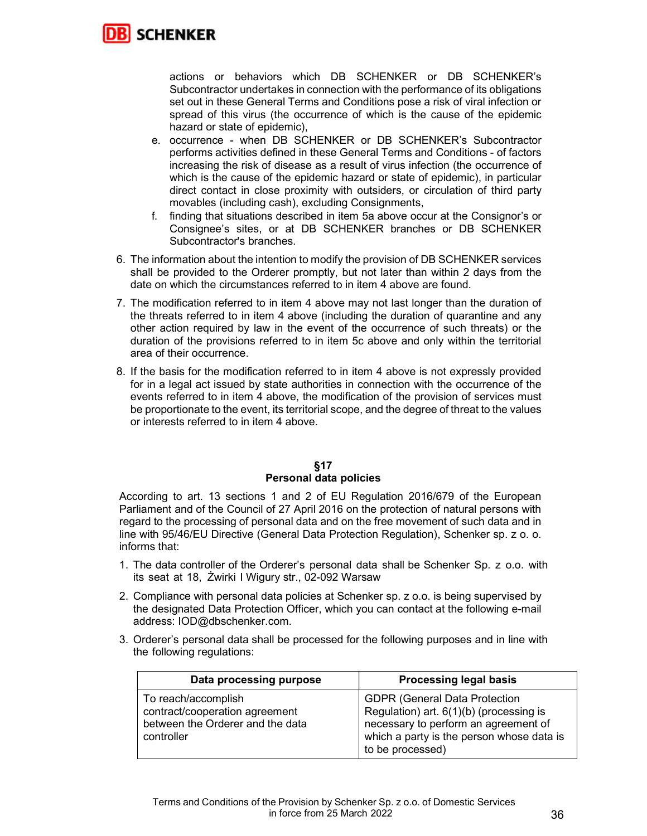

actions or behaviors which DB SCHENKER or DB SCHENKER's Subcontractor undertakes in connection with the performance of its obligations set out in these General Terms and Conditions pose a risk of viral infection or spread of this virus (the occurrence of which is the cause of the epidemic hazard or state of epidemic),

- e. occurrence when DB SCHENKER or DB SCHENKER's Subcontractor performs activities defined in these General Terms and Conditions - of factors increasing the risk of disease as a result of virus infection (the occurrence of which is the cause of the epidemic hazard or state of epidemic), in particular direct contact in close proximity with outsiders, or circulation of third party movables (including cash), excluding Consignments,
- f. finding that situations described in item 5a above occur at the Consignor's or Consignee's sites, or at DB SCHENKER branches or DB SCHENKER Subcontractor's branches.
- 6. The information about the intention to modify the provision of DB SCHENKER services shall be provided to the Orderer promptly, but not later than within 2 days from the date on which the circumstances referred to in item 4 above are found.
- 7. The modification referred to in item 4 above may not last longer than the duration of the threats referred to in item 4 above (including the duration of quarantine and any other action required by law in the event of the occurrence of such threats) or the duration of the provisions referred to in item 5c above and only within the territorial area of their occurrence.
- 8. If the basis for the modification referred to in item 4 above is not expressly provided for in a legal act issued by state authorities in connection with the occurrence of the events referred to in item 4 above, the modification of the provision of services must be proportionate to the event, its territorial scope, and the degree of threat to the values or interests referred to in item 4 above.

## §17 Personal data policies

According to art. 13 sections 1 and 2 of EU Regulation 2016/679 of the European Parliament and of the Council of 27 April 2016 on the protection of natural persons with regard to the processing of personal data and on the free movement of such data and in line with 95/46/EU Directive (General Data Protection Regulation), Schenker sp. z o. o. informs that:

- 1. The data controller of the Orderer's personal data shall be Schenker Sp. z o.o. with its seat at 18, Żwirki I Wigury str., 02-092 Warsaw
- 2. Compliance with personal data policies at Schenker sp. z o.o. is being supervised by the designated Data Protection Officer, which you can contact at the following e-mail address: IOD@dbschenker.com.
- 3. Orderer's personal data shall be processed for the following purposes and in line with the following regulations:

| Data processing purpose                                                                                 | <b>Processing legal basis</b>                                                                                                                                                            |
|---------------------------------------------------------------------------------------------------------|------------------------------------------------------------------------------------------------------------------------------------------------------------------------------------------|
| To reach/accomplish<br>contract/cooperation agreement<br>between the Orderer and the data<br>controller | <b>GDPR (General Data Protection</b><br>Regulation) art. 6(1)(b) (processing is<br>necessary to perform an agreement of<br>which a party is the person whose data is<br>to be processed) |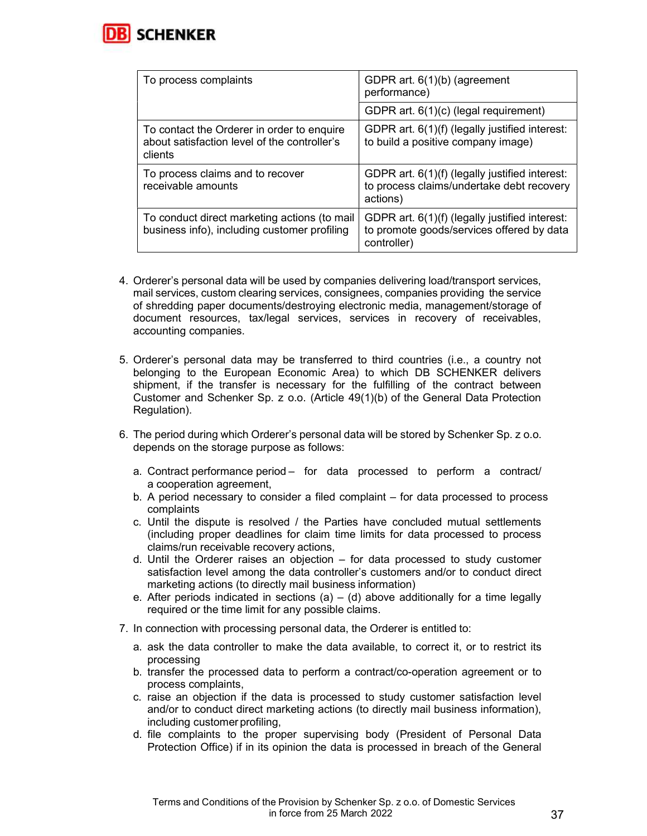

| To process complaints                                                                                 | GDPR art. 6(1)(b) (agreement<br>performance)                                                               |
|-------------------------------------------------------------------------------------------------------|------------------------------------------------------------------------------------------------------------|
|                                                                                                       | GDPR art. 6(1)(c) (legal requirement)                                                                      |
| To contact the Orderer in order to enquire<br>about satisfaction level of the controller's<br>clients | GDPR art. 6(1)(f) (legally justified interest:<br>to build a positive company image)                       |
| To process claims and to recover<br>receivable amounts                                                | GDPR art. 6(1)(f) (legally justified interest:<br>to process claims/undertake debt recovery<br>actions)    |
| To conduct direct marketing actions (to mail<br>business info), including customer profiling          | GDPR art. 6(1)(f) (legally justified interest:<br>to promote goods/services offered by data<br>controller) |

- 4. Orderer's personal data will be used by companies delivering load/transport services, mail services, custom clearing services, consignees, companies providing the service of shredding paper documents/destroying electronic media, management/storage of document resources, tax/legal services, services in recovery of receivables, accounting companies.
- 5. Orderer's personal data may be transferred to third countries (i.e., a country not belonging to the European Economic Area) to which DB SCHENKER delivers shipment, if the transfer is necessary for the fulfilling of the contract between Customer and Schenker Sp. z o.o. (Article 49(1)(b) of the General Data Protection Regulation).
- 6. The period during which Orderer's personal data will be stored by Schenker Sp. z o.o. depends on the storage purpose as follows:
	- a. Contract performance period for data processed to perform a contract/ a cooperation agreement,
	- b. A period necessary to consider a filed complaint for data processed to process complaints
	- c. Until the dispute is resolved / the Parties have concluded mutual settlements (including proper deadlines for claim time limits for data processed to process claims/run receivable recovery actions,
	- d. Until the Orderer raises an objection for data processed to study customer satisfaction level among the data controller's customers and/or to conduct direct marketing actions (to directly mail business information)
	- e. After periods indicated in sections  $(a) (d)$  above additionally for a time legally required or the time limit for any possible claims.
- 7. In connection with processing personal data, the Orderer is entitled to:
	- a. ask the data controller to make the data available, to correct it, or to restrict its processing
	- b. transfer the processed data to perform a contract/co-operation agreement or to process complaints,
	- c. raise an objection if the data is processed to study customer satisfaction level and/or to conduct direct marketing actions (to directly mail business information), including customer profiling,
	- d. file complaints to the proper supervising body (President of Personal Data Protection Office) if in its opinion the data is processed in breach of the General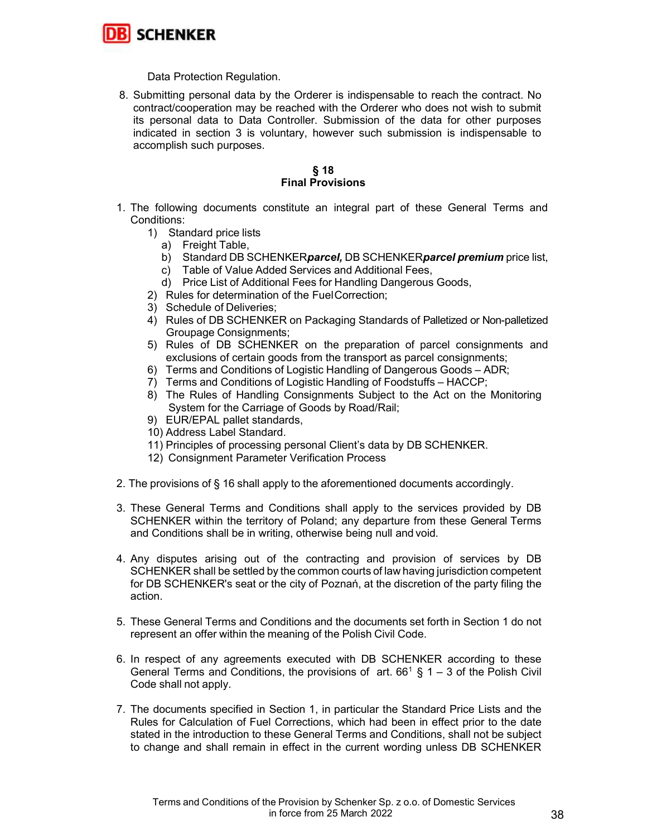

Data Protection Regulation.

8. Submitting personal data by the Orderer is indispensable to reach the contract. No contract/cooperation may be reached with the Orderer who does not wish to submit its personal data to Data Controller. Submission of the data for other purposes indicated in section 3 is voluntary, however such submission is indispensable to accomplish such purposes.

## § 18 Final Provisions

- 1. The following documents constitute an integral part of these General Terms and Conditions:
	- 1) Standard price lists
		- a) Freight Table,
		- b) Standard DB SCHENKERparcel, DB SCHENKERparcel premium price list,
		- c) Table of Value Added Services and Additional Fees,
		- d) Price List of Additional Fees for Handling Dangerous Goods,
	- 2) Rules for determination of the Fuel Correction;
	- 3) Schedule of Deliveries;
	- 4) Rules of DB SCHENKER on Packaging Standards of Palletized or Non-palletized Groupage Consignments;
	- 5) Rules of DB SCHENKER on the preparation of parcel consignments and exclusions of certain goods from the transport as parcel consignments;
	- 6) Terms and Conditions of Logistic Handling of Dangerous Goods ADR;
	- 7) Terms and Conditions of Logistic Handling of Foodstuffs HACCP;
	- 8) The Rules of Handling Consignments Subject to the Act on the Monitoring System for the Carriage of Goods by Road/Rail;
	- 9) EUR/EPAL pallet standards,
	- 10) Address Label Standard.
	- 11) Principles of processing personal Client's data by DB SCHENKER.
	- 12) Consignment Parameter Verification Process
- 2. The provisions of § 16 shall apply to the aforementioned documents accordingly.
- 3. These General Terms and Conditions shall apply to the services provided by DB SCHENKER within the territory of Poland; any departure from these General Terms and Conditions shall be in writing, otherwise being null and void.
- 4. Any disputes arising out of the contracting and provision of services by DB SCHENKER shall be settled by the common courts of law having jurisdiction competent for DB SCHENKER's seat or the city of Poznań, at the discretion of the party filing the action.
- 5. These General Terms and Conditions and the documents set forth in Section 1 do not represent an offer within the meaning of the Polish Civil Code.
- 6. In respect of any agreements executed with DB SCHENKER according to these General Terms and Conditions, the provisions of art.  $66^1$  § 1 – 3 of the Polish Civil Code shall not apply.
- 7. The documents specified in Section 1, in particular the Standard Price Lists and the Rules for Calculation of Fuel Corrections, which had been in effect prior to the date stated in the introduction to these General Terms and Conditions, shall not be subject to change and shall remain in effect in the current wording unless DB SCHENKER